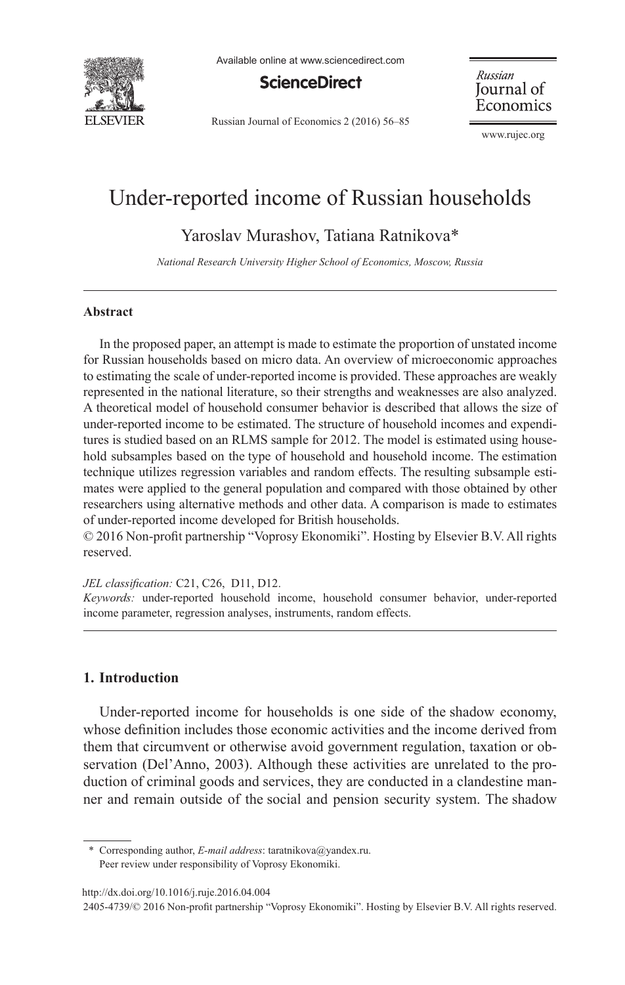

Available online at www.sciencedirect.com

# **ScienceDirect**

Russian Journal of Economics 2 (2016) 56–85

Russian Journal of Economics

www.rujec.org

# Under-reported income of Russian households

Yaroslav Murashov, Tatiana Ratnikova\*

*National Research University Higher School of Economics, Moscow, Russia* 

#### **Abstract**

In the proposed paper, an attempt is made to estimate the proportion of unstated income for Russian households based on micro data. An overview of microeconomic approaches to estimating the scale of under-reported income is provided. These approaches are weakly represented in the national literature, so their strengths and weaknesses are also analyzed. A theoretical model of household consumer behavior is described that allows the size of under-reported income to be estimated. The structure of household incomes and expenditures is studied based on an RLMS sample for 2012. The model is estimated using household subsamples based on the type of household and household income. The estimation technique utilizes regression variables and random effects. The resulting subsample estimates were applied to the general population and compared with those obtained by other researchers using alternative methods and other data. A comparison is made to estimates of under-reported income developed for British households.

 $© 2016$  Non-profit partnership "Voprosy Ekonomiki". Hosting by Elsevier B.V. All rights reserved.

*JEL classification:* C21, C26, D11, D12.

Keywords: under-reported household income, household consumer behavior, under-reported income parameter, regression analyses, instruments, random effects.

# **1. Introduction**

Under-reported income for households is one side of the shadow economy, whose definition includes those economic activities and the income derived from them that circumvent or otherwise avoid government regulation, taxation or observation (Del'Anno, 2003). Although these activities are unrelated to the production of criminal goods and services, they are conducted in a clandestine manner and remain outside of the social and pension security system. The shadow

\* Corresponding author, *E-mail address*: taratnikova@yandex.ru. Peer review under responsibility of Voprosy Ekonomiki.

doi line http://dx.doi.org/10.1016/j.ruje.2016.04.004

<sup>2405-4739/© 2016</sup> Non-profit partnership "Voprosy Ekonomiki". Hosting by Elsevier B.V. All rights reserved.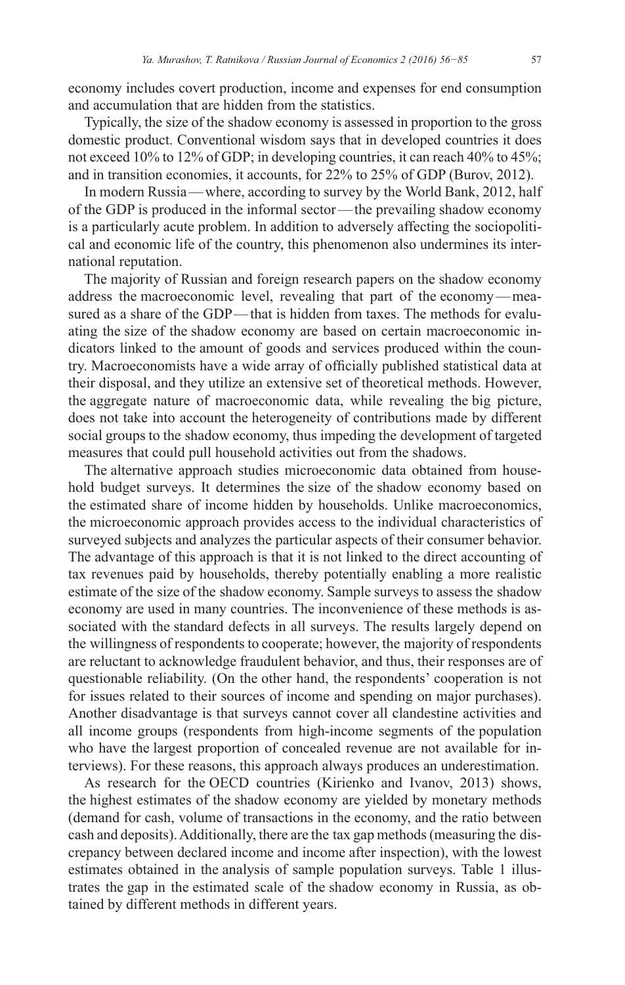economy includes covert production, income and expenses for end consumption and accumulation that are hidden from the statistics.

Typically, the size of the shadow economy is assessed in proportion to the gross domestic product. Conventional wisdom says that in developed countries it does not exceed 10% to 12% of GDP; in developing countries, it can reach 40% to 45%; and in transition economies, it accounts, for  $22\%$  to  $25\%$  of GDP (Burov, 2012).

In modern Russia — where, according to survey by the World Bank, 2012, half of the GDP is produced in the informal sector-the prevailing shadow economy is a particularly acute problem. In addition to adversely affecting the sociopolitical and economic life of the country, this phenomenon also undermines its international reputation.

The majority of Russian and foreign research papers on the shadow economy address the macroeconomic level, revealing that part of the economy — measured as a share of the GDP—that is hidden from taxes. The methods for evaluating the size of the shadow economy are based on certain macroeconomic indicators linked to the amount of goods and services produced within the country. Macroeconomists have a wide array of officially published statistical data at their disposal, and they utilize an extensive set of theoretical methods. However, the aggregate nature of macroeconomic data, while revealing the big picture, does not take into account the heterogeneity of contributions made by different social groups to the shadow economy, thus impeding the development of targeted measures that could pull household activities out from the shadows.

The alternative approach studies microeconomic data obtained from household budget surveys. It determines the size of the shadow economy based on the estimated share of income hidden by households. Unlike macroeconomics, the microeconomic approach provides access to the individual characteristics of surveyed subjects and analyzes the particular aspects of their consumer behavior. The advantage of this approach is that it is not linked to the direct accounting of tax revenues paid by households, thereby potentially enabling a more realistic estimate of the size of the shadow economy. Sample surveys to assess the shadow economy are used in many countries. The inconvenience of these methods is associated with the standard defects in all surveys. The results largely depend on the willingness of respondents to cooperate; however, the majority of respondents are reluctant to acknowledge fraudulent behavior, and thus, their responses are of questionable reliability. (On the other hand, the respondents' cooperation is not for issues related to their sources of income and spending on major purchases). Another disadvantage is that surveys cannot cover all clandestine activities and all income groups (respondents from high-income segments of the population who have the largest proportion of concealed revenue are not available for interviews). For these reasons, this approach always produces an underestimation.

As research for the OECD countries (Kirienko and Ivanov, 2013) shows, the highest estimates of the shadow economy are yielded by monetary methods (demand for cash, volume of transactions in the economy, and the ratio between cash and deposits). Additionally, there are the tax gap methods (measuring the discrepancy between declared income and income after inspection), with the lowest estimates obtained in the analysis of sample population surveys. Table 1 illustrates the gap in the estimated scale of the shadow economy in Russia, as obtained by different methods in different years.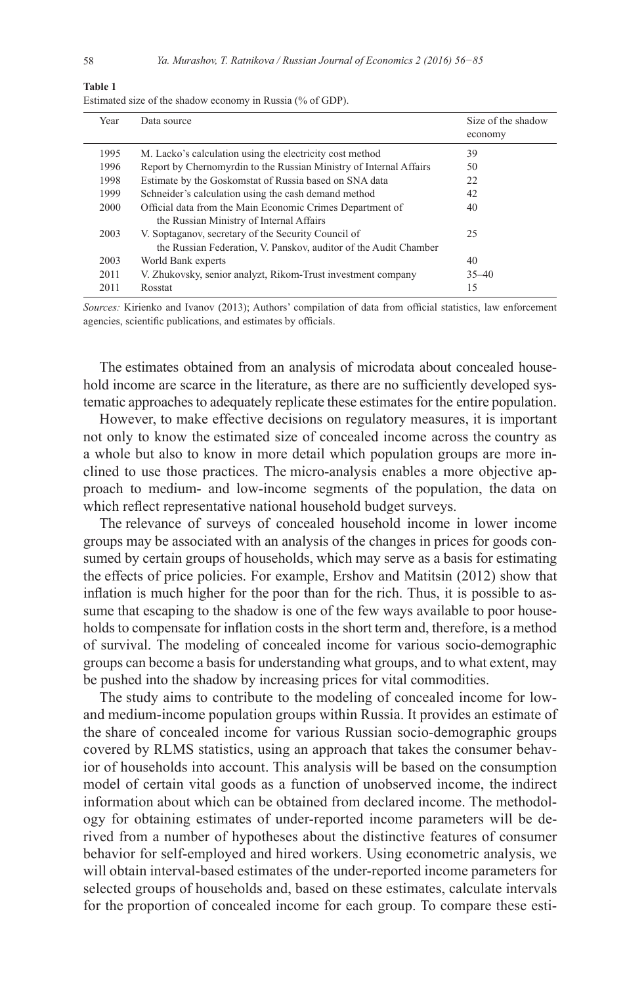| Year<br>Data source<br>economy<br>1995<br>M. Lacko's calculation using the electricity cost method<br>39<br>Report by Chernomyrdin to the Russian Ministry of Internal Affairs<br>1996<br>50 | Size of the shadow |
|----------------------------------------------------------------------------------------------------------------------------------------------------------------------------------------------|--------------------|
|                                                                                                                                                                                              |                    |
|                                                                                                                                                                                              |                    |
|                                                                                                                                                                                              |                    |
|                                                                                                                                                                                              |                    |
| Estimate by the Goskomstat of Russia based on SNA data<br>22<br>1998                                                                                                                         |                    |
| Schneider's calculation using the cash demand method<br>1999<br>42                                                                                                                           |                    |
| Official data from the Main Economic Crimes Department of<br>2000<br>40                                                                                                                      |                    |
| the Russian Ministry of Internal Affairs                                                                                                                                                     |                    |
| V. Soptaganov, secretary of the Security Council of<br>25<br>2003                                                                                                                            |                    |
| the Russian Federation, V. Panskov, auditor of the Audit Chamber                                                                                                                             |                    |
| 2003<br>World Bank experts<br>40                                                                                                                                                             |                    |
| V. Zhukovsky, senior analyzt, Rikom-Trust investment company<br>2011<br>$35 - 40$                                                                                                            |                    |
| 15<br>2011<br>Rosstat                                                                                                                                                                        |                    |

Estimated size of the shadow economy in Russia ( $\%$  of GDP).

Sources: Kirienko and Ivanov (2013); Authors' compilation of data from official statistics, law enforcement agencies, scientific publications, and estimates by officials.

The estimates obtained from an analysis of microdata about concealed household income are scarce in the literature, as there are no sufficiently developed systematic approaches to adequately replicate these estimates for the entire population.

However, to make effective decisions on regulatory measures, it is important not only to know the estimated size of concealed income across the country as a whole but also to know in more detail which population groups are more inclined to use those practices. The micro-analysis enables a more objective approach to medium- and low-income segments of the population, the data on which reflect representative national household budget surveys.

The relevance of surveys of concealed household income in lower income groups may be associated with an analysis of the changes in prices for goods consumed by certain groups of households, which may serve as a basis for estimating the effects of price policies. For example, Ershov and Matitsin (2012) show that inflation is much higher for the poor than for the rich. Thus, it is possible to assume that escaping to the shadow is one of the few ways available to poor households to compensate for inflation costs in the short term and, therefore, is a method of survival. The modeling of concealed income for various socio- demographic groups can become a basis for understanding what groups, and to what extent, may be pushed into the shadow by increasing prices for vital commodities.

The study aims to contribute to the modeling of concealed income for lowand medium-income population groups within Russia. It provides an estimate of the share of concealed income for various Russian socio-demographic groups covered by RLMS statistics, using an approach that takes the consumer behavior of households into account. This analysis will be based on the consumption model of certain vital goods as a function of unobserved income, the indirect information about which can be obtained from declared income. The methodology for obtaining estimates of under-reported income parameters will be derived from a number of hypotheses about the distinctive features of consumer behavior for self-employed and hired workers. Using econometric analysis, we will obtain interval-based estimates of the under-reported income parameters for selected groups of households and, based on these estimates, calculate intervals for the proportion of concealed income for each group. To compare these esti-

**Table 1**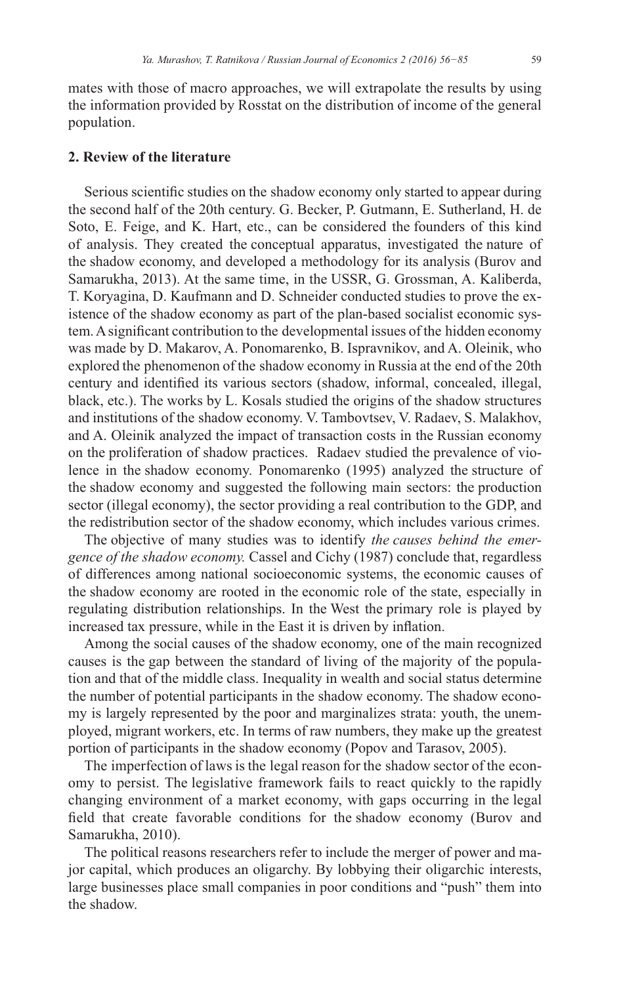mates with those of macro approaches, we will extrapolate the results by using the information provided by Rosstat on the distribution of income of the general population.

# 2. Review of the literature

Serious scientific studies on the shadow economy only started to appear during the second half of the 20th century. G. Becker, P. Gutmann, E. Sutherland, H. de Soto, E. Feige, and K. Hart, etc., can be considered the founders of this kind of analysis. They created the conceptual apparatus, investigated the nature of the shadow economy, and developed a methodology for its analysis (Burov and Samarukha, 2013). At the same time, in the USSR, G. Grossman, A. Kaliberda, T. Koryagina, D. Kaufmann and D. Schneider conducted studies to prove the existence of the shadow economy as part of the plan-based socialist economic system. A significant contribution to the developmental issues of the hidden economy was made by D. Makarov, A. Ponomarenko, B. Ispravnikov, and A. Oleinik, who explored the phenomenon of the shadow economy in Russia at the end of the 20th century and identified its various sectors (shadow, informal, concealed, illegal, black, etc.). The works by L. Kosals studied the origins of the shadow structures and institutions of the shadow economy. V. Tambovtsev, V. Radaev, S. Malakhov, and A. Oleinik analyzed the impact of transaction costs in the Russian economy on the proliferation of shadow practices. Radaev studied the prevalence of violence in the shadow economy. Ponomarenko (1995) analyzed the structure of the shadow economy and suggested the following main sectors: the production sector (illegal economy), the sector providing a real contribution to the GDP, and the redistribution sector of the shadow economy, which includes various crimes.

The objective of many studies was to identify the causes behind the emergence of the shadow economy. Cassel and Cichy (1987) conclude that, regardless of differences among national socioeconomic systems, the economic causes of the shadow economy are rooted in the economic role of the state, especially in regulating distribution relationships. In the West the primary role is played by increased tax pressure, while in the East it is driven by inflation.

Among the social causes of the shadow economy, one of the main recognized causes is the gap between the standard of living of the majority of the population and that of the middle class. Inequality in wealth and social status determine the number of potential participants in the shadow economy. The shadow economy is largely represented by the poor and marginalizes strata: youth, the unemployed, migrant workers, etc. In terms of raw numbers, they make up the greatest portion of participants in the shadow economy (Popov and Tarasov, 2005).

The imperfection of laws is the legal reason for the shadow sector of the economy to persist. The legislative framework fails to react quickly to the rapidly changing environment of a market economy, with gaps occurring in the legal field that create favorable conditions for the shadow economy (Burov and Samarukha, 2010).

The political reasons researchers refer to include the merger of power and major capital, which produces an oligarchy. By lobbying their oligarchic interests, large businesses place small companies in poor conditions and "push" them into the shadow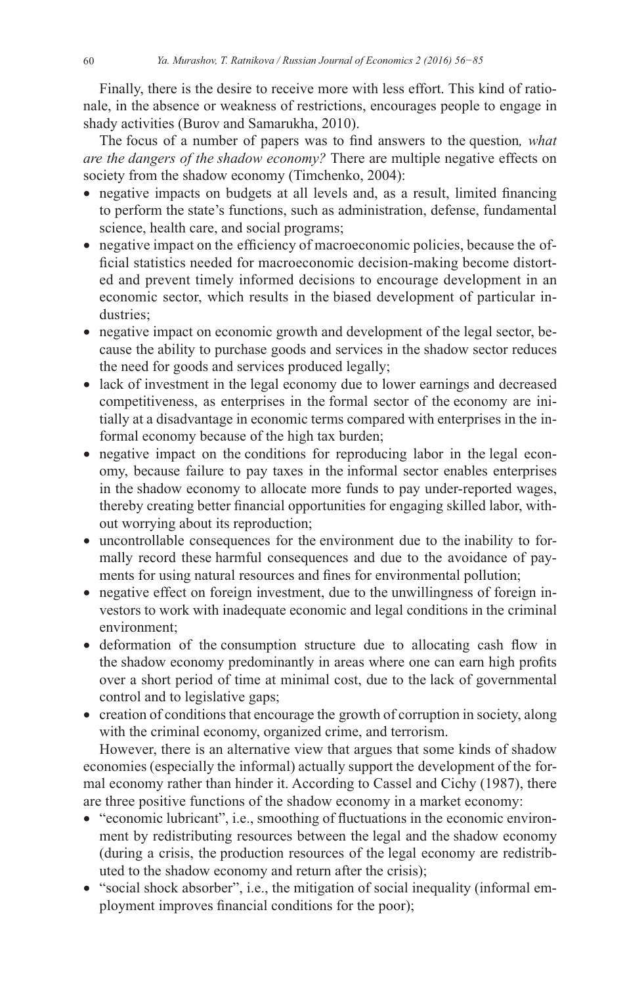Finally, there is the desire to receive more with less effort. This kind of rationale, in the absence or weakness of restrictions, encourages people to engage in shady activities (Burov and Samarukha, 2010).

The focus of a number of papers was to find answers to the question, what are the dangers of the shadow economy? There are multiple negative effects on society from the shadow economy (Timchenko, 2004):

- negative impacts on budgets at all levels and, as a result, limited financing to perform the state's functions, such as administration, defense, fundamental science, health care, and social programs;
- negative impact on the efficiency of macroeconomic policies, because the official statistics needed for macroeconomic decision-making become distorted and prevent timely informed decisions to encourage development in an economic sector, which results in the biased development of particular industries:
- negative impact on economic growth and development of the legal sector, because the ability to purchase goods and services in the shadow sector reduces the need for goods and services produced legally;
- lack of investment in the legal economy due to lower earnings and decreased competitiveness, as enterprises in the formal sector of the economy are initially at a disadvantage in economic terms compared with enterprises in the informal economy because of the high tax burden;
- negative impact on the conditions for reproducing labor in the legal economy, because failure to pay taxes in the informal sector enables enterprises in the shadow economy to allocate more funds to pay under-reported wages, thereby creating better financial opportunities for engaging skilled labor, without worrying about its reproduction;
- uncontrollable consequences for the environment due to the inability to formally record these harmful consequences and due to the avoidance of payments for using natural resources and fines for environmental pollution;
- negative effect on foreign investment, due to the unwillingness of foreign investors to work with inadequate economic and legal conditions in the criminal environment:
- deformation of the consumption structure due to allocating cash flow in the shadow economy predominantly in areas where one can earn high profits over a short period of time at minimal cost, due to the lack of governmental control and to legislative gaps;
- creation of conditions that encourage the growth of corruption in society, along with the criminal economy, organized crime, and terrorism.

However, there is an alternative view that argues that some kinds of shadow economies (especially the informal) actually support the development of the formal economy rather than hinder it. According to Cassel and Cichy (1987), there are three positive functions of the shadow economy in a market economy:

- "economic lubricant", i.e., smoothing of fluctuations in the economic environment by redistributing resources between the legal and the shadow economy (during a crisis, the production resources of the legal economy are redistributed to the shadow economy and return after the crisis);
- "social shock absorber", i.e., the mitigation of social inequality (informal employment improves financial conditions for the poor);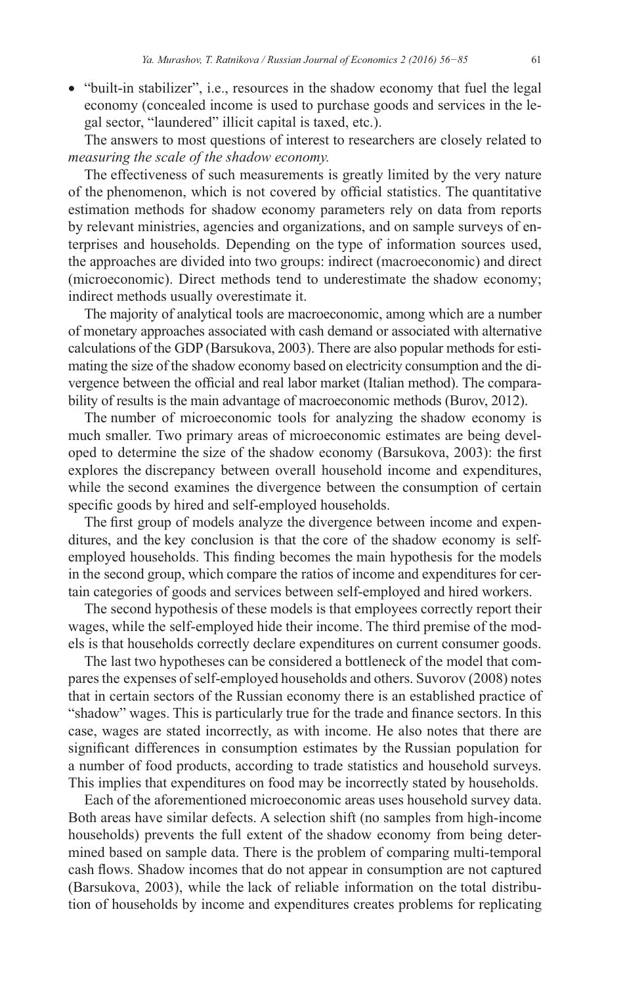• "built-in stabilizer", i.e., resources in the shadow economy that fuel the legal economy (concealed income is used to purchase goods and services in the legal sector, "laundered" illicit capital is taxed, etc.).

The answers to most questions of interest to researchers are closely related to measuring the scale of the shadow economy.

The effectiveness of such measurements is greatly limited by the very nature of the phenomenon, which is not covered by official statistics. The quantitative estimation methods for shadow economy parameters rely on data from reports by relevant ministries, agencies and organizations, and on sample surveys of enterprises and households. Depending on the type of information sources used, the approaches are divided into two groups: indirect (macroeconomic) and direct (microeconomic). Direct methods tend to underestimate the shadow economy; indirect methods usually overestimate it.

The majority of analytical tools are macroeconomic, among which are a number of monetary approaches associated with cash demand or associated with alternative calculations of the GDP (Barsukova, 2003). There are also popular methods for estimating the size of the shadow economy based on electricity consumption and the divergence between the official and real labor market (Italian method). The comparability of results is the main advantage of macroeconomic methods (Burov, 2012).

The number of microeconomic tools for analyzing the shadow economy is much smaller. Two primary areas of microeconomic estimates are being developed to determine the size of the shadow economy (Barsukova, 2003): the first explores the discrepancy between overall household income and expenditures, while the second examines the divergence between the consumption of certain specific goods by hired and self-employed households.

The first group of models analyze the divergence between income and expenditures, and the key conclusion is that the core of the shadow economy is selfemployed households. This finding becomes the main hypothesis for the models in the second group, which compare the ratios of income and expenditures for certain categories of goods and services between self-employed and hired workers.

The second hypothesis of these models is that employees correctly report their wages, while the self-employed hide their income. The third premise of the models is that households correctly declare expenditures on current consumer goods.

The last two hypotheses can be considered a bottleneck of the model that compares the expenses of self-employed households and others. Suvorov (2008) notes that in certain sectors of the Russian economy there is an established practice of "shadow" wages. This is particularly true for the trade and finance sectors. In this case, wages are stated incorrectly, as with income. He also notes that there are significant differences in consumption estimates by the Russian population for a number of food products, according to trade statistics and household surveys. This implies that expenditures on food may be incorrectly stated by households.

Each of the aforementioned microeconomic areas uses household survey data. Both areas have similar defects. A selection shift (no samples from high-income households) prevents the full extent of the shadow economy from being determined based on sample data. There is the problem of comparing multi-temporal cash flows. Shadow incomes that do not appear in consumption are not captured (Barsukova, 2003), while the lack of reliable information on the total distribution of households by income and expenditures creates problems for replicating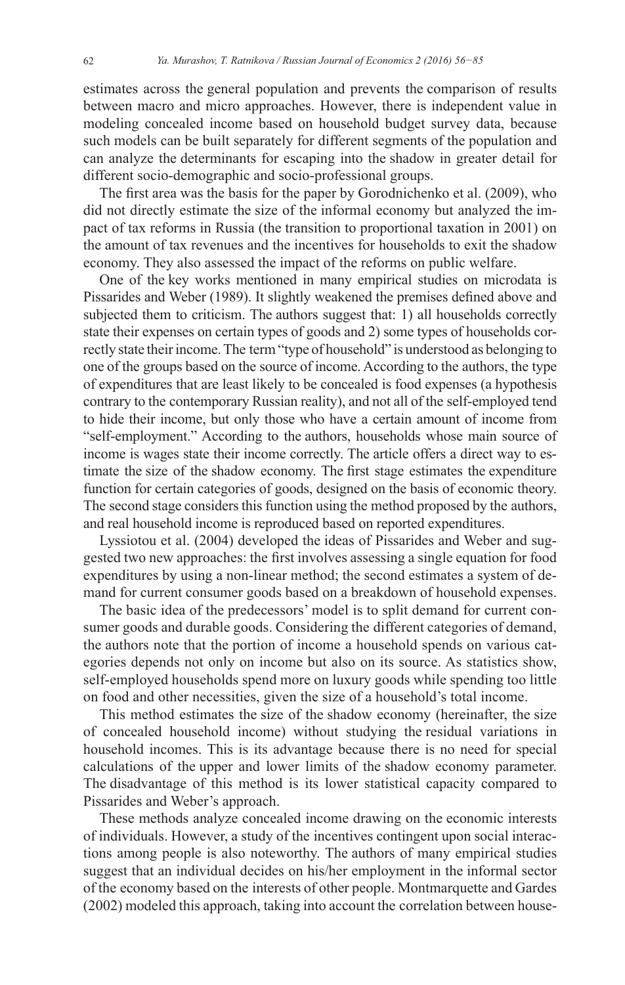estimates across the general population and prevents the comparison of results between macro and micro approaches. However, there is independent value in modeling concealed income based on household budget survey data, because such models can be built separately for different segments of the population and can analyze the determinants for escaping into the shadow in greater detail for different socio-demographic and socio-professional groups.

The first area was the basis for the paper by Gorodnichenko et al.  $(2009)$ , who did not directly estimate the size of the informal economy but analyzed the impact of tax reforms in Russia (the transition to proportional taxation in 2001) on the amount of tax revenues and the incentives for households to exit the shadow economy. They also assessed the impact of the reforms on public welfare.

One of the key works mentioned in many empirical studies on microdata is Pissarides and Weber (1989). It slightly weakened the premises defined above and subjected them to criticism. The authors suggest that: 1) all households correctly state their expenses on certain types of goods and 2) some types of households correctly state their income. The term "type of household" is understood as belonging to one of the groups based on the source of income. According to the authors, the type of expenditures that are least likely to be concealed is food expenses (a hypothesis contrary to the contemporary Russian reality), and not all of the self-employed tend to hide their income, but only those who have a certain amount of income from "self-employment." According to the authors, households whose main source of income is wages state their income correctly. The article offers a direct way to estimate the size of the shadow economy. The first stage estimates the expenditure function for certain categories of goods, designed on the basis of economic theory. The second stage considers this function using the method proposed by the authors, and real household income is reproduced based on reported expenditures.

Lyssiotou et al. (2004) developed the ideas of Pissarides and Weber and suggested two new approaches: the first involves assessing a single equation for food expenditures by using a non-linear method; the second estimates a system of demand for current consumer goods based on a breakdown of household expenses.

The basic idea of the predecessors' model is to split demand for current consumer goods and durable goods. Considering the different categories of demand, the authors note that the portion of income a household spends on various categories depends not only on income but also on its source. As statistics show, self-employed households spend more on luxury goods while spending too little on food and other necessities, given the size of a household's total income.

This method estimates the size of the shadow economy (hereinafter, the size of concealed household income) without studying the residual variations in household incomes. This is its advantage because there is no need for special calculations of the upper and lower limits of the shadow economy parameter. The disadvantage of this method is its lower statistical capacity compared to Pissarides and Weber's approach.

These methods analyze concealed income drawing on the economic interests of individuals. However, a study of the incentives contingent upon social interactions among people is also noteworthy. The authors of many empirical studies suggest that an individual decides on his/her employment in the informal sector of the economy based on the interests of other people. Montmarquette and Gardes (2002) modeled this approach, taking into account the correlation between house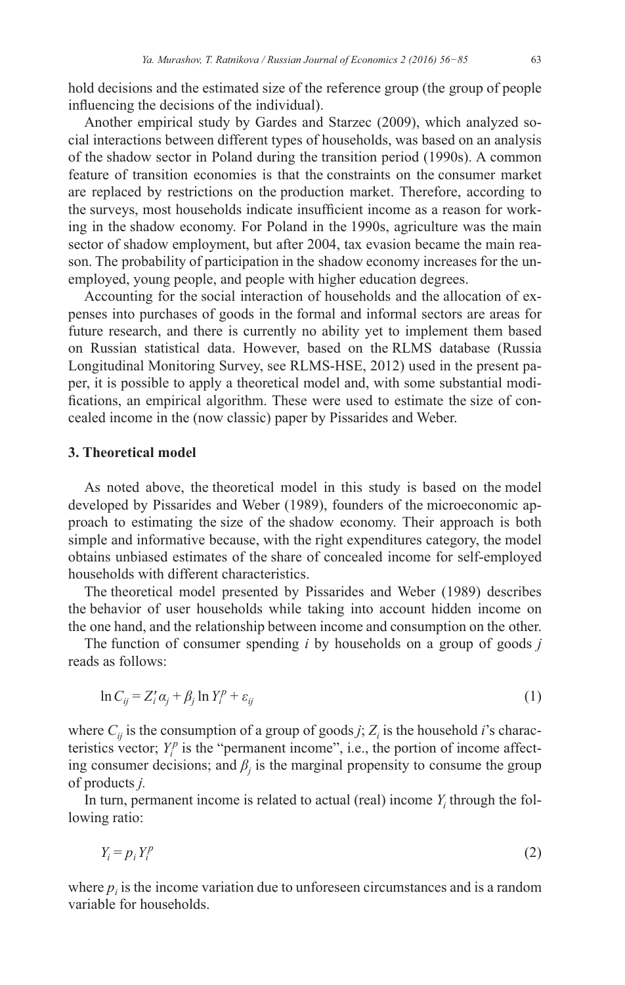hold decisions and the estimated size of the reference group (the group of people influencing the decisions of the individual).

Another empirical study by Gardes and Starzec (2009), which analyzed social interactions between different types of households, was based on an analysis of the shadow sector in Poland during the transition period (1990s). A common feature of transition economies is that the constraints on the consumer market are replaced by restrictions on the production market. Therefore, according to the surveys, most households indicate insufficient income as a reason for working in the shadow economy. For Poland in the 1990s, agriculture was the main sector of shadow employment, but after 2004, tax evasion became the main reason. The probability of participation in the shadow economy increases for the unemployed, young people, and people with higher education degrees.

Accounting for the social interaction of households and the allocation of expenses into purchases of goods in the formal and informal sectors are areas for future research, and there is currently no ability yet to implement them based on Russian statistical data. However, based on the RLMS database (Russia Longitudinal Monitoring Survey, see RLMS-HSE, 2012) used in the present paper, it is possible to apply a theoretical model and, with some substantial modi fications, an empirical algorithm. These were used to estimate the size of concealed income in the (now classic) paper by Pissarides and Weber.

### **3. Theoretical model**

As noted above, the theoretical model in this study is based on the model developed by Pissarides and Weber (1989), founders of the microeconomic approach to estimating the size of the shadow economy. Their approach is both simple and informative because, with the right expenditures category, the model obtains unbiased estimates of the share of concealed income for self-employed households with different characteristics.

The theoretical model presented by Pissarides and Weber (1989) describes the behavior of user households while taking into account hidden income on the one hand, and the relationship between income and consumption on the other.

The function of consumer spending *i* by households on a group of goods *j*  reads as follows:

$$
\ln C_{ij} = Z_i' \alpha_j + \beta_j \ln Y_i^p + \varepsilon_{ij} \tag{1}
$$

where  $C_{ij}$  is the consumption of a group of goods *j*;  $Z_i$  is the household *i*'s characteristics vector;  $Y_i^p$  is the "permanent income", i.e., the portion of income affecting consumer decisions; and  $\beta_j$  is the marginal propensity to consume the group of products *j.*

In turn, permanent income is related to actual (real) income  $Y_i$  through the following ratio:

$$
Y_i = p_i Y_i^p \tag{2}
$$

where  $p_i$  is the income variation due to unforeseen circumstances and is a random variable for households.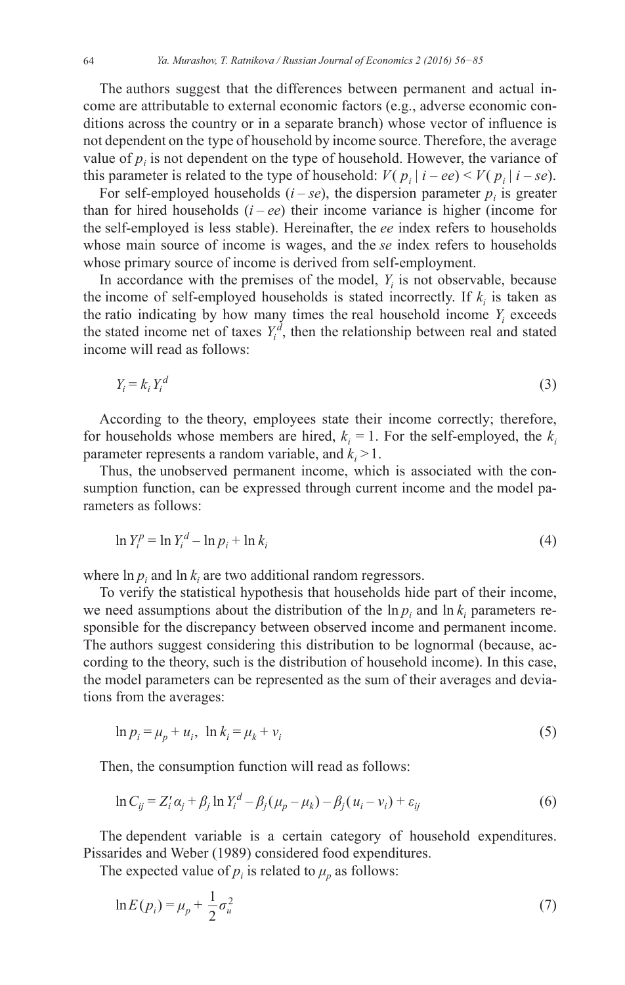The authors suggest that the differences between permanent and actual income are attributable to external economic factors (e.g., adverse economic conditions across the country or in a separate branch) whose vector of influence is not dependent on the type of household by income source. Therefore, the average value of  $p_i$  is not dependent on the type of household. However, the variance of this parameter is related to the type of household:  $V(p_i | i - ee) < V(p_i | i - se)$ .

For self-employed households  $(i - se)$ , the dispersion parameter  $p_i$  is greater than for hired households  $(i - ee)$  their income variance is higher (income for the self-employed is less stable). Hereinafter, the ee index refers to households whose main source of income is wages, and the *se* index refers to households whose primary source of income is derived from self-employment.

In accordance with the premises of the model,  $Y_i$  is not observable, because the income of self-employed households is stated incorrectly. If  $k_i$  is taken as the ratio indicating by how many times the real household income  $Y_i$  exceeds the stated income net of taxes  $Y_i^d$ , then the relationship between real and stated income will read as follows:

$$
Y_i = k_i Y_i^d \tag{3}
$$

According to the theory, employees state their income correctly; therefore, for households whose members are hired,  $k_i = 1$ . For the self-employed, the  $k_i$ parameter represents a random variable, and  $k_i > 1$ .

Thus, the unobserved permanent income, which is associated with the consumption function, can be expressed through current income and the model parameters as follows:

$$
\ln Y_i^p = \ln Y_i^d - \ln p_i + \ln k_i \tag{4}
$$

where  $\ln p_i$  and  $\ln k_i$  are two additional random regressors.

To verify the statistical hypothesis that households hide part of their income, we need assumptions about the distribution of the  $\ln p_i$  and  $\ln k_i$  parameters responsible for the discrepancy between observed income and permanent income. The authors suggest considering this distribution to be lognormal (because, according to the theory, such is the distribution of household income). In this case, the model parameters can be represented as the sum of their averages and deviations from the averages:

$$
\ln p_i = \mu_p + u_i, \ \ln k_i = \mu_k + v_i \tag{5}
$$

Then, the consumption function will read as follows:

$$
\ln C_{ij} = Z_i' \alpha_j + \beta_j \ln Y_i^d - \beta_j (\mu_p - \mu_k) - \beta_j (u_i - v_i) + \varepsilon_{ij}
$$
(6)

The dependent variable is a certain category of household expenditures. Pissarides and Weber (1989) considered food expenditures.

The expected value of  $p_i$  is related to  $\mu_p$  as follows:

$$
\ln E(p_i) = \mu_p + \frac{1}{2}\sigma_u^2 \tag{7}
$$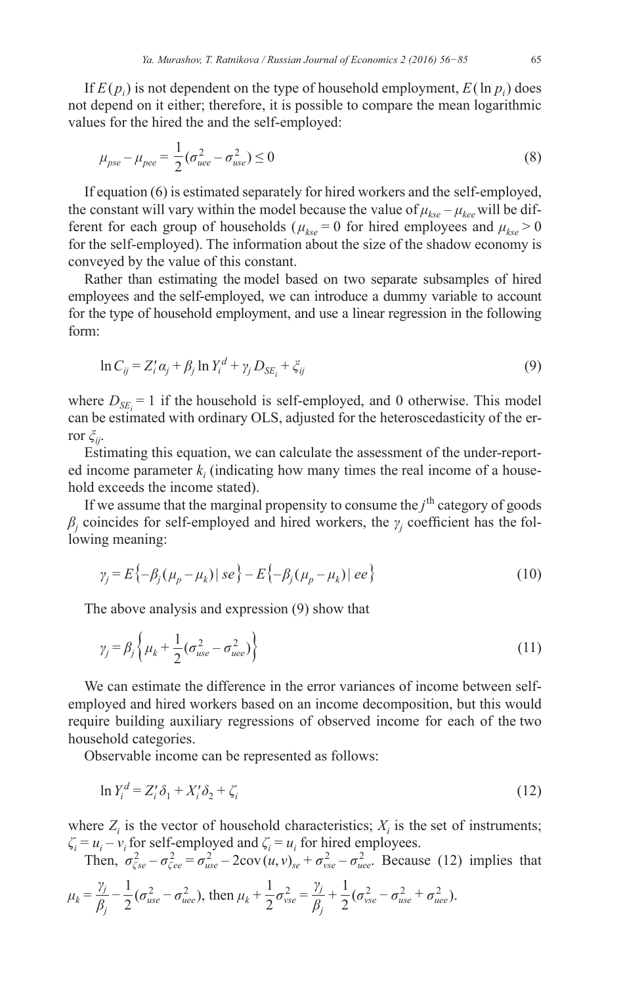If  $E(p_i)$  is not dependent on the type of household employment,  $E(\ln p_i)$  does not depend on it either; therefore, it is possible to compare the mean logarithmic values for the hired the and the self-employed:

$$
\mu_{pse} - \mu_{pee} = \frac{1}{2} (\sigma_{uee}^2 - \sigma_{use}^2) \le 0
$$
\n(8)

If equation (6) is estimated separately for hired workers and the self-employed, the constant will vary within the model because the value of  $\mu_{kse} - \mu_{kee}$  will be different for each group of households ( $\mu_{kse} = 0$  for hired employees and  $\mu_{kse} > 0$ for the self-employed). The information about the size of the shadow economy is conveyed by the value of this constant.

Rather than estimating the model based on two separate subsamples of hired employees and the self-employed, we can introduce a dummy variable to account for the type of household employment, and use a linear regression in the following form:

$$
\ln C_{ij} = Z_i' \alpha_i + \beta_i \ln Y_i^d + \gamma_i D_{SE} + \xi_{ij}
$$
\n
$$
(9)
$$

where  $D_{SE_i} = 1$  if the household is self-employed, and 0 otherwise. This model can be estimated with ordinary OLS, adjusted for the heteroscedasticity of the error  $\zeta_{ii}$ .

Estimating this equation, we can calculate the assessment of the under-reported income parameter  $k_i$  (indicating how many times the real income of a household exceeds the income stated).

If we assume that the marginal propensity to consume the  $j<sup>th</sup>$  category of goods  $\beta_i$  coincides for self-employed and hired workers, the  $\gamma_i$  coefficient has the following meaning:

$$
\gamma_j = E\{-\beta_j(\mu_p - \mu_k) \,|\, s e\} - E\{-\beta_j(\mu_p - \mu_k) \,|\, e e\} \tag{10}
$$

The above analysis and expression (9) show that

$$
\gamma_j = \beta_j \left\{ \mu_k + \frac{1}{2} (\sigma_{use}^2 - \sigma_{uee}^2) \right\} \tag{11}
$$

We can estimate the difference in the error variances of income between selfemployed and hired workers based on an income decomposition, but this would require building auxiliary regressions of observed income for each of the two household categories.

Observable income can be represented as follows:

$$
\ln Y_i^d = Z_i' \delta_1 + X_i' \delta_2 + \zeta_i \tag{12}
$$

where  $Z_i$  is the vector of household characteristics;  $X_i$  is the set of instruments;

 $\zeta_i = u_i - v_i$  for self-employed and  $\zeta_i = u_i$  for hired employees.<br>Then,  $\sigma_{\zeta se}^2 - \sigma_{\zeta ee}^2 = \sigma_{use}^2 - 2\text{cov}(u, v)_{se} + \sigma_{vse}^2 - \sigma_{uee}^2$ . Because (12) implies that

$$
\mu_k = \frac{\gamma_j}{\beta_j} - \frac{1}{2} (\sigma_{use}^2 - \sigma_{uee}^2), \text{ then } \mu_k + \frac{1}{2} \sigma_{vse}^2 = \frac{\gamma_j}{\beta_j} + \frac{1}{2} (\sigma_{vse}^2 - \sigma_{use}^2 + \sigma_{uee}^2).
$$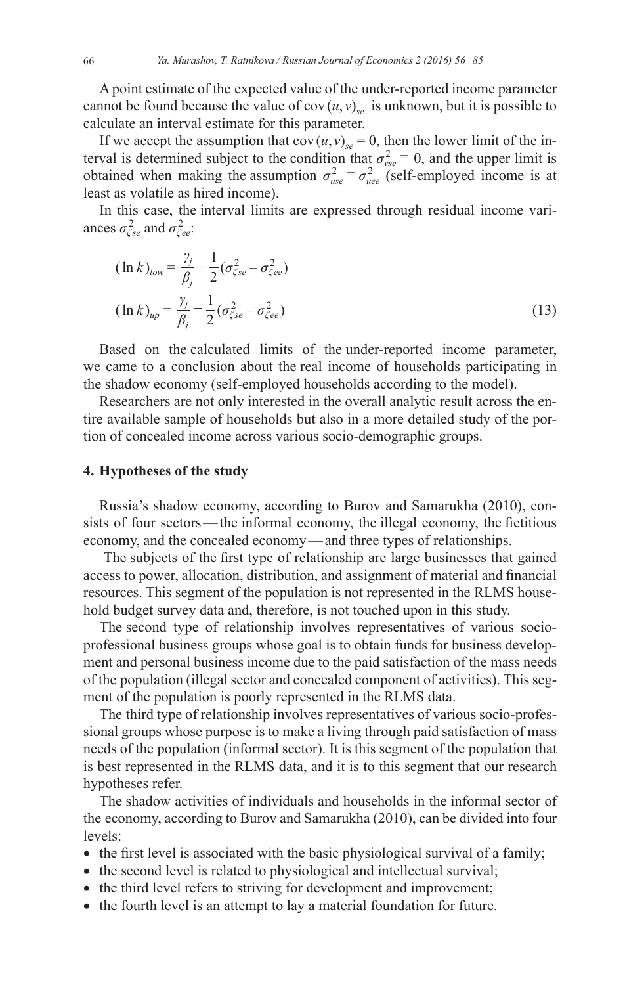A point estimate of the expected value of the under-reported income parameter cannot be found because the value of  $cov(u, v)_{v}$  is unknown, but it is possible to calculate an interval estimate for this parameter.

If we accept the assumption that  $cov(u, v)_{se} = 0$ , then the lower limit of the interval is determined subject to the condition that  $\sigma_{vse}^2 = 0$ , and the upper limit is obtained when making the assumption  $\sigma_{use}^2 = \sigma_{uee}^2$  (self-employed income is at least as volatile as hired income).

In this case, the interval limits are expressed through residual income variances  $\sigma_{\zeta_{se}}^2$  and  $\sigma_{\zeta_{ee}}^2$ .

$$
(\ln k)_{low} = \frac{\gamma_j}{\beta_j} - \frac{1}{2} (\sigma_{\zeta se}^2 - \sigma_{\zeta ee}^2)
$$
  
\n
$$
(\ln k)_{up} = \frac{\gamma_j}{\beta_j} + \frac{1}{2} (\sigma_{\zeta se}^2 - \sigma_{\zeta ee}^2)
$$
\n(13)

Based on the calculated limits of the under-reported income parameter, we came to a conclusion about the real income of households participating in the shadow economy (self-employed households according to the model).

Researchers are not only interested in the overall analytic result across the entire available sample of households but also in a more detailed study of the portion of concealed income across various socio-demographic groups.

# 4. Hypotheses of the study

Russia's shadow economy, according to Burov and Samarukha (2010), consists of four sectors—the informal economy, the illegal economy, the fictitious economy, and the concealed economy—and three types of relationships.

The subjects of the first type of relationship are large businesses that gained access to power, allocation, distribution, and assignment of material and financial resources. This segment of the population is not represented in the RLMS household budget survey data and, therefore, is not touched upon in this study.

The second type of relationship involves representatives of various socioprofessional business groups whose goal is to obtain funds for business development and personal business income due to the paid satisfaction of the mass needs of the population (illegal sector and concealed component of activities). This segment of the population is poorly represented in the RLMS data.

The third type of relationship involves representatives of various socio-professional groups whose purpose is to make a living through paid satisfaction of mass needs of the population (informal sector). It is this segment of the population that is best represented in the RLMS data, and it is to this segment that our research hypotheses refer.

The shadow activities of individuals and households in the informal sector of the economy, according to Burov and Samarukha (2010), can be divided into four levels:

- the first level is associated with the basic physiological survival of a family;
- the second level is related to physiological and intellectual survival;
- the third level refers to striving for development and improvement;
- the fourth level is an attempt to lay a material foundation for future.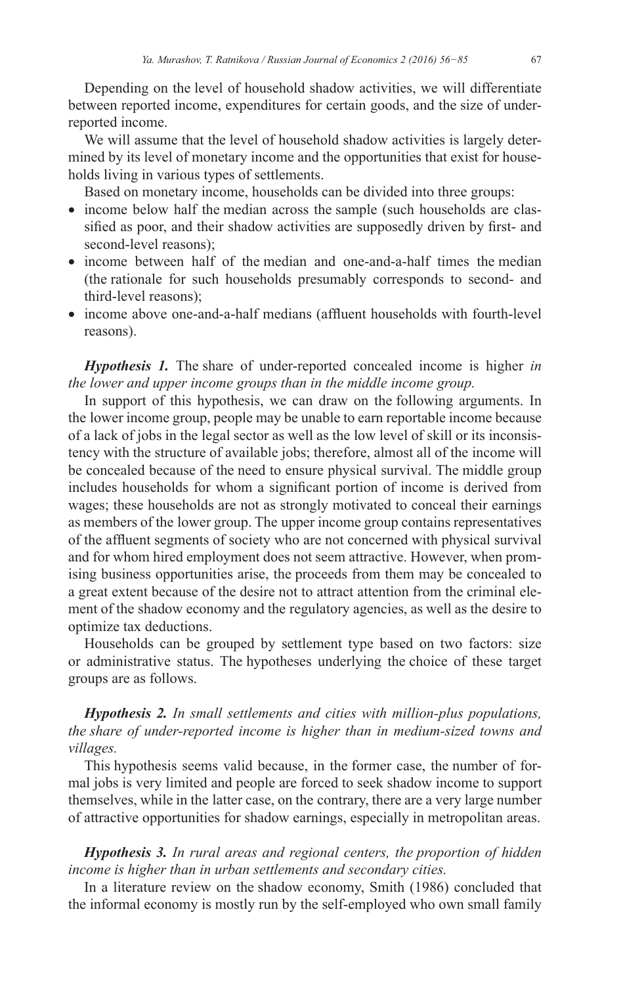Depending on the level of household shadow activities, we will differentiate between reported income, expenditures for certain goods, and the size of underreported income.

We will assume that the level of household shadow activities is largely determined by its level of monetary income and the opportunities that exist for households living in various types of settlements.

Based on monetary income, households can be divided into three groups:

- income below half the median across the sample (such households are classified as poor, and their shadow activities are supposedly driven by first- and second-level reasons);
- income between half of the median and one-and-a-half times the median (the rationale for such households presumably corresponds to second- and third-level reasons);
- income above one-and-a-half medians (affluent households with fourth-level reasons).

*Hypothesis 1.* The share of under-reported concealed income is higher *in the lower and upper income groups than in the middle income group.* 

In support of this hypothesis, we can draw on the following arguments. In the lower income group, people may be unable to earn reportable income because of a lack of jobs in the legal sector as well as the low level of skill or its inconsistency with the structure of available jobs; therefore, almost all of the income will be concealed because of the need to ensure physical survival. The middle group includes households for whom a significant portion of income is derived from wages; these households are not as strongly motivated to conceal their earnings as members of the lower group. The upper income group contains representatives of the affluent segments of society who are not concerned with physical survival and for whom hired employment does not seem attractive. However, when promising business opportunities arise, the proceeds from them may be concealed to a great extent because of the desire not to attract attention from the criminal element of the shadow economy and the regulatory agencies, as well as the desire to optimize tax deductions.

Households can be grouped by settlement type based on two factors: size or administrative status. The hypotheses underlying the choice of these target groups are as follows.

# *Hypothesis 2. In small settlements and cities with million-plus populations, the share of under- reported income is higher than in medium-sized towns and villages.*

This hypothesis seems valid because, in the former case, the number of formal jobs is very limited and people are forced to seek shadow income to support themselves, while in the latter case, on the contrary, there are a very large number of attractive opportunities for shadow earnings, especially in metropolitan areas.

# *Hypothesis 3. In rural areas and regional centers, the proportion of hidden income is higher than in urban settlements and secondary cities.*

In a literature review on the shadow economy, Smith (1986) concluded that the informal economy is mostly run by the self-employed who own small family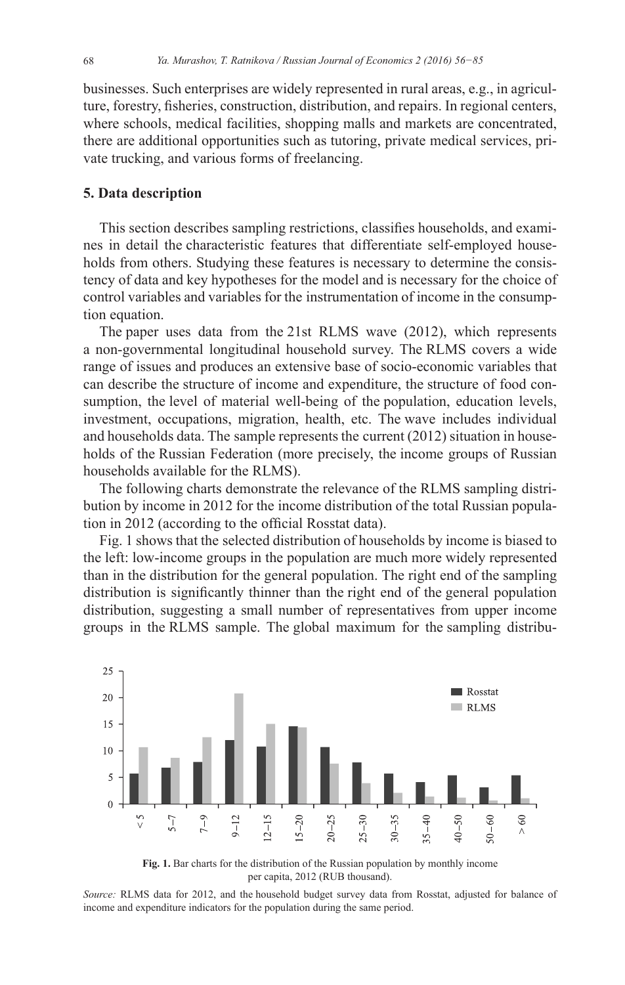businesses. Such enterprises are widely represented in rural areas, e.g., in agriculture, forestry, fisheries, construction, distribution, and repairs. In regional centers, where schools, medical facilities, shopping malls and markets are concentrated, there are additional opportunities such as tutoring, private medical services, private trucking, and various forms of freelancing.

# **5. Data description**

This section describes sampling restrictions, classifies households, and examines in detail the characteristic features that differentiate self-employed households from others. Studying these features is necessary to determine the consistency of data and key hypotheses for the model and is necessary for the choice of control variables and variables for the instrumentation of income in the consumption equation.

The paper uses data from the 21st RLMS wave (2012), which represents a non-governmental longitudinal household survey. The RLMS covers a wide range of issues and produces an extensive base of socio-economic variables that can describe the structure of income and expenditure, the structure of food consumption, the level of material well-being of the population, education levels, investment, occupations, migration, health, etc. The wave includes individual and households data. The sample represents the current (2012) situation in households of the Russian Federation (more precisely, the income groups of Russian households available for the RLMS).

The following charts demonstrate the relevance of the RLMS sampling distribution by income in 2012 for the income distribution of the total Russian population in 2012 (according to the official Rosstat data).

Fig. 1 shows that the selected distribution of households by income is biased to the left: low-income groups in the population are much more widely represented than in the distribution for the general population. The right end of the sampling distribution is significantly thinner than the right end of the general population distribution, suggesting a small number of representatives from upper income groups in the RLMS sample. The global maximum for the sampling distribu-



**Fig. 1.** Bar charts for the distribution of the Russian population by monthly income per capita, 2012 (RUB thousand).

*Source:* RLMS data for 2012, and the household budget survey data from Rosstat, adjusted for balance of income and expenditure indicators for the population during the same period.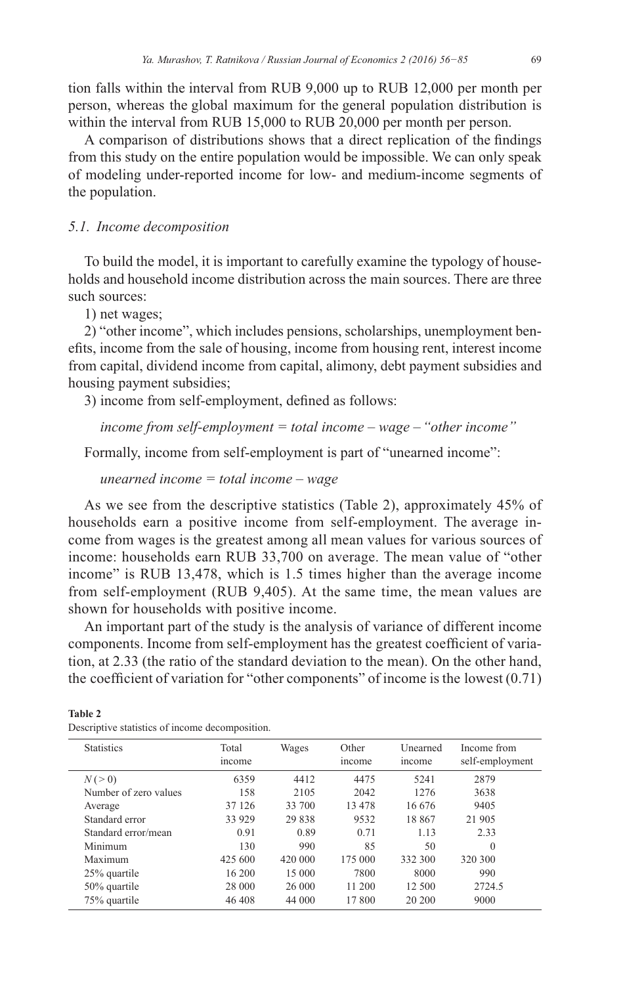tion falls within the interval from RUB  $9,000$  up to RUB  $12,000$  per month per person, whereas the global maximum for the general population distribution is within the interval from RUB 15,000 to RUB 20,000 per month per person.

A comparison of distributions shows that a direct replication of the findings from this study on the entire population would be impossible. We can only speak of modeling under-reported income for low- and medium-income segments of the population.

# *5.1. Income decomposition*

To build the model, it is important to carefully examine the typology of households and household income distribution across the main sources. There are three such sources:

1) net wages;

2) "other income", which includes pensions, scholarships, unemployment benefits, income from the sale of housing, income from housing rent, interest income from capital, dividend income from capital, alimony, debt payment subsidies and housing payment subsidies;

3) income from self-employment, defined as follows:

*income from self-employment = total income – wage – "other income"*

Formally, income from self-employment is part of "unearned income":

*unearned income = total income – wage*

As we see from the descriptive statistics (Table 2), approximately 45% of households earn a positive income from self-employment. The average income from wages is the greatest among all mean values for various sources of income: households earn RUB 33,700 on average. The mean value of "other income" is RUB 13,478, which is  $1.5$  times higher than the average income from self-employment (RUB 9,405). At the same time, the mean values are shown for households with positive income.

An important part of the study is the analysis of variance of different income components. Income from self-employment has the greatest coefficient of variation, at 2.33 (the ratio of the standard deviation to the mean). On the other hand, the coefficient of variation for "other components" of income is the lowest  $(0.71)$ 

| <b>Statistics</b>     | Total<br>income | Wages   | Other<br>income | Unearned<br>income | Income from<br>self-employment |
|-----------------------|-----------------|---------|-----------------|--------------------|--------------------------------|
| N(>0)                 | 6359            | 4412    | 4475            | 5241               | 2879                           |
| Number of zero values | 158             | 2105    | 2042            | 1276               | 3638                           |
| Average               | 37 126          | 33 700  | 13 478          | 16.676             | 9405                           |
| Standard error        | 33 9 29         | 29 838  | 9532            | 18867              | 21 905                         |
| Standard error/mean   | 0.91            | 0.89    | 0.71            | 1.13               | 2.33                           |
| Minimum               | 130             | 990     | 85              | 50                 | $\theta$                       |
| Maximum               | 425 600         | 420 000 | 175 000         | 332 300            | 320 300                        |
| 25% quartile          | 16 200          | 15 000  | 7800            | 8000               | 990                            |
| 50% quartile          | 28 000          | 26 000  | 11 200          | 12 500             | 2724.5                         |
| 75% quartile          | 46 408          | 44 000  | 17 800          | 20 200             | 9000                           |

Descriptive statistics of income decomposition

**Table 2**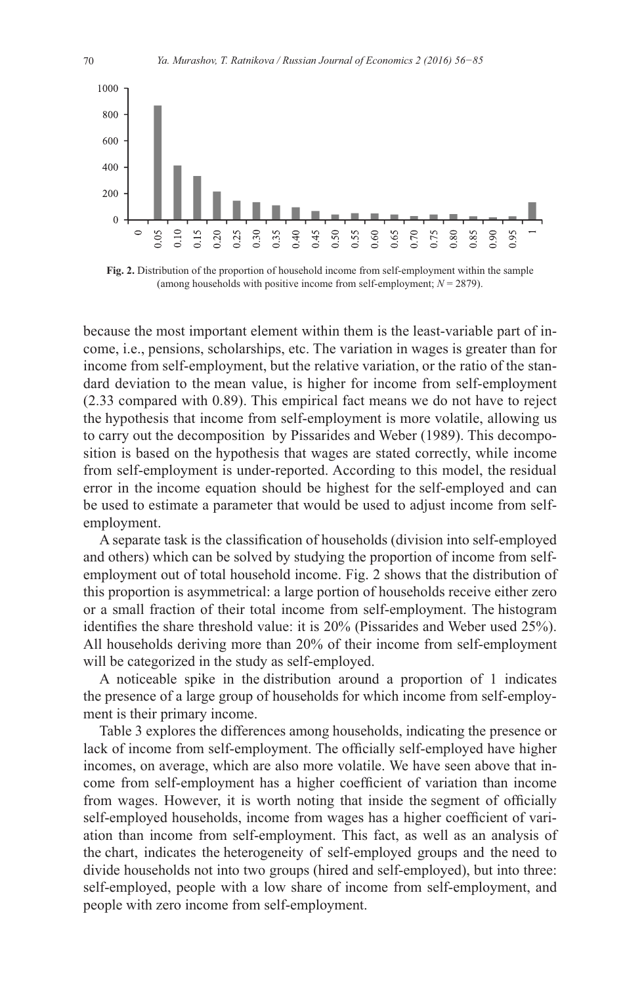

Fig. 2. Distribution of the proportion of household income from self-employment within the sample (among households with positive income from self-employment;  $N = 2879$ ).

because the most important element within them is the least-variable part of income, i.e., pensions, scholarships, etc. The variation in wages is greater than for income from self-employment, but the relative variation, or the ratio of the standard deviation to the mean value, is higher for income from self-employment  $(2.33$  compared with 0.89). This empirical fact means we do not have to reject the hypothesis that income from self-employment is more volatile, allowing us to carry out the decomposition by Pissarides and Weber (1989). This decomposition is based on the hypothesis that wages are stated correctly, while income from self-employment is under-reported. According to this model, the residual error in the income equation should be highest for the self-employed and can be used to estimate a parameter that would be used to adjust income from selfemployment.

A separate task is the classification of households (division into self-employed and others) which can be solved by studying the proportion of income from selfemployment out of total household income. Fig. 2 shows that the distribution of this proportion is asymmetrical: a large portion of households receive either zero or a small fraction of their total income from self-employment. The histogram identifies the share threshold value: it is  $20\%$  (Pissarides and Weber used  $25\%$ ). All households deriving more than 20% of their income from self-employment will be categorized in the study as self-employed.

A noticeable spike in the distribution around a proportion of 1 indicates the presence of a large group of households for which income from self-employment is their primary income.

Table 3 explores the differences among households, indicating the presence or lack of income from self-employment. The officially self-employed have higher incomes, on average, which are also more volatile. We have seen above that income from self-employment has a higher coefficient of variation than income from wages. However, it is worth noting that inside the segment of officially self-employed households, income from wages has a higher coefficient of variation than income from self-employment. This fact, as well as an analysis of the chart, indicates the heterogeneity of self-employed groups and the need to divide households not into two groups (hired and self-employed), but into three: self-employed, people with a low share of income from self-employment, and people with zero income from self-employment.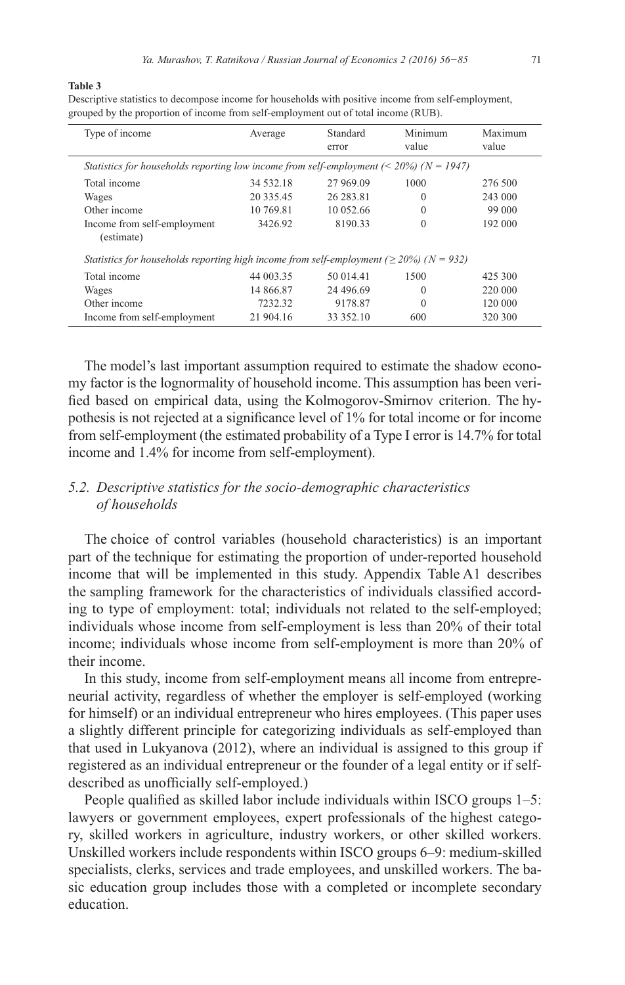#### **Table 3**

Descriptive statistics to decompose income for households with positive income from self-employment, grouped by the proportion of income from self-employment out of total income (RUB).

| Type of income                                                                                 | Average   | Standard<br>error | Minimum<br>value | Maximum<br>value |
|------------------------------------------------------------------------------------------------|-----------|-------------------|------------------|------------------|
| Statistics for households reporting low income from self-employment ( $\leq 20\%$ ) (N = 1947) |           |                   |                  |                  |
| Total income                                                                                   | 34 532.18 | 27 969.09         | 1000             | 276 500          |
| Wages                                                                                          | 20 335.45 | 26 283.81         | $\theta$         | 243 000          |
| Other income                                                                                   | 10 769.81 | 10 052 66         | $\theta$         | 99 000           |
| Income from self-employment<br>(estimate)                                                      | 3426.92   | 8190.33           | $\Omega$         | 192 000          |
| Statistics for households reporting high income from self-employment ( $\geq$ 20%) (N = 932)   |           |                   |                  |                  |
| Total income                                                                                   | 44 003.35 | 50 014.41         | 1500             | 425 300          |
| Wages                                                                                          | 14 866.87 | 24 496.69         | $\theta$         | 220 000          |
| Other income                                                                                   | 7232.32   | 9178.87           | $\Omega$         | 120 000          |
| Income from self-employment                                                                    | 21 904.16 | 33 352.10         | 600              | 320 300          |

The model's last important assumption required to estimate the shadow economy factor is the lognormality of household income. This assumption has been veri fied based on empirical data, using the Kolmogorov-Smirnov criterion. The hypothesis is not rejected at a significance level of 1% for total income or for income from self-employment (the estimated probability of a Type I error is 14.7% for total income and 1.4% for income from self-employment).

# *5.2. Descriptive statistics for the socio-demographic characteristics of households*

The choice of control variables (household characteristics) is an important part of the technique for estimating the proportion of under-reported household income that will be implemented in this study. Appendix Table A1 describes the sampling framework for the characteristics of individuals classified according to type of employment: total; individuals not related to the self-employed; individuals whose income from self-employment is less than 20% of their total income; individuals whose income from self-employment is more than 20% of their income.

In this study, income from self-employment means all income from entrepreneurial activity, regardless of whether the employer is self-employed (working for himself) or an individual entrepreneur who hires employees. (This paper uses a slightly different principle for categorizing individuals as self-employed than that used in Lukyanova (2012), where an individual is assigned to this group if registered as an individual entrepreneur or the founder of a legal entity or if selfdescribed as unofficially self-employed.)

People qualified as skilled labor include individuals within ISCO groups  $1-5$ : lawyers or government employees, expert professionals of the highest category, skilled workers in agriculture, industry workers, or other skilled workers. Unskilled workers include respondents within ISCO groups 6–9: medium-skilled specialists, clerks, services and trade employees, and unskilled workers. The basic education group includes those with a completed or incomplete secondary education.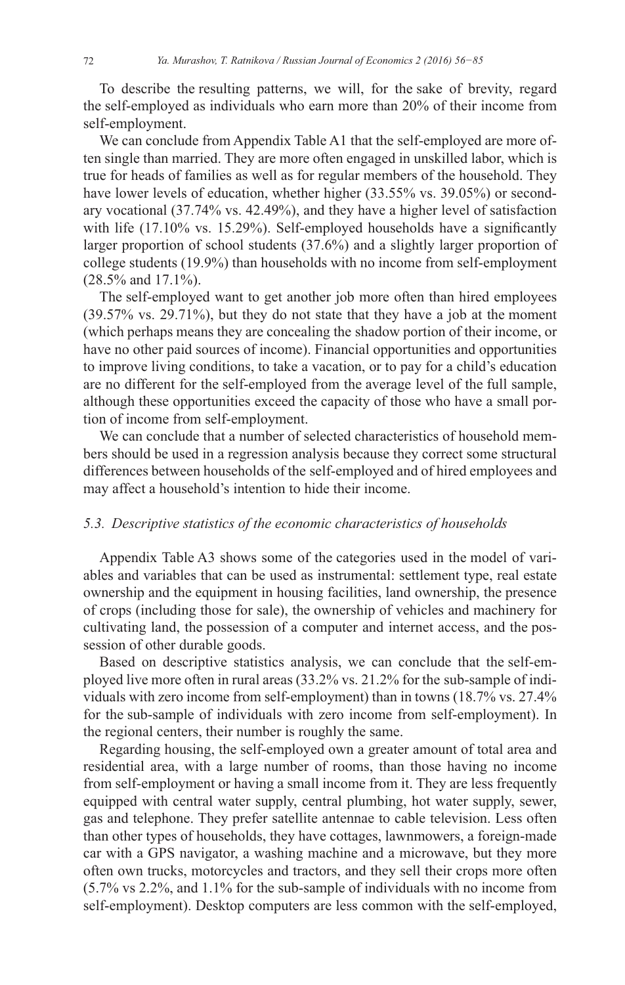To describe the resulting patterns, we will, for the sake of brevity, regard the self-employed as individuals who earn more than 20% of their income from self-employment.

We can conclude from Appendix Table A1 that the self-employed are more often single than married. They are more often engaged in unskilled labor, which is true for heads of families as well as for regular members of the household. They have lower levels of education, whether higher (33.55% vs. 39.05%) or secondary vocational (37.74% vs. 42.49%), and they have a higher level of satisfaction with life  $(17.10\%$  vs. 15.29%). Self-employed households have a significantly larger proportion of school students  $(37.6\%)$  and a slightly larger proportion of college students (19.9%) than households with no income from self-employment (28.5% and 17.1%).

The self-employed want to get another job more often than hired employees  $(39.57\% \text{ vs. } 29.71\%)$ , but they do not state that they have a job at the moment (which perhaps means they are concealing the shadow portion of their income, or have no other paid sources of income). Financial opportunities and opportunities to improve living conditions, to take a vacation, or to pay for a child's education are no different for the self-employed from the average level of the full sample, although these opportunities exceed the capacity of those who have a small portion of income from self-employment.

We can conclude that a number of selected characteristics of household members should be used in a regression analysis because they correct some structural differences between households of the self-employed and of hired employees and may affect a household's intention to hide their income.

# 5.3. Descriptive statistics of the economic characteristics of households

Appendix Table A3 shows some of the categories used in the model of variables and variables that can be used as instrumental: settlement type, real estate ownership and the equipment in housing facilities, land ownership, the presence of crops (including those for sale), the ownership of vehicles and machinery for cultivating land, the possession of a computer and internet access, and the possession of other durable goods.

Based on descriptive statistics analysis, we can conclude that the self-employed live more often in rural areas  $(33.2\% \text{ vs. } 21.2\% \text{ for the sub-sample of indi-}$ viduals with zero income from self-employment) than in towns (18.7% vs. 27.4% for the sub-sample of individuals with zero income from self-employment). In the regional centers, their number is roughly the same.

Regarding housing, the self-employed own a greater amount of total area and residential area, with a large number of rooms, than those having no income from self-employment or having a small income from it. They are less frequently equipped with central water supply, central plumbing, hot water supply, sewer, gas and telephone. They prefer satellite antennae to cable television. Less often than other types of households, they have cottages, lawnmowers, a foreign-made car with a GPS navigator, a washing machine and a microwave, but they more often own trucks, motorcycles and tractors, and they sell their crops more often (5.7% vs 2.2%, and 1.1% for the sub-sample of individuals with no income from self-employment). Desktop computers are less common with the self-employed,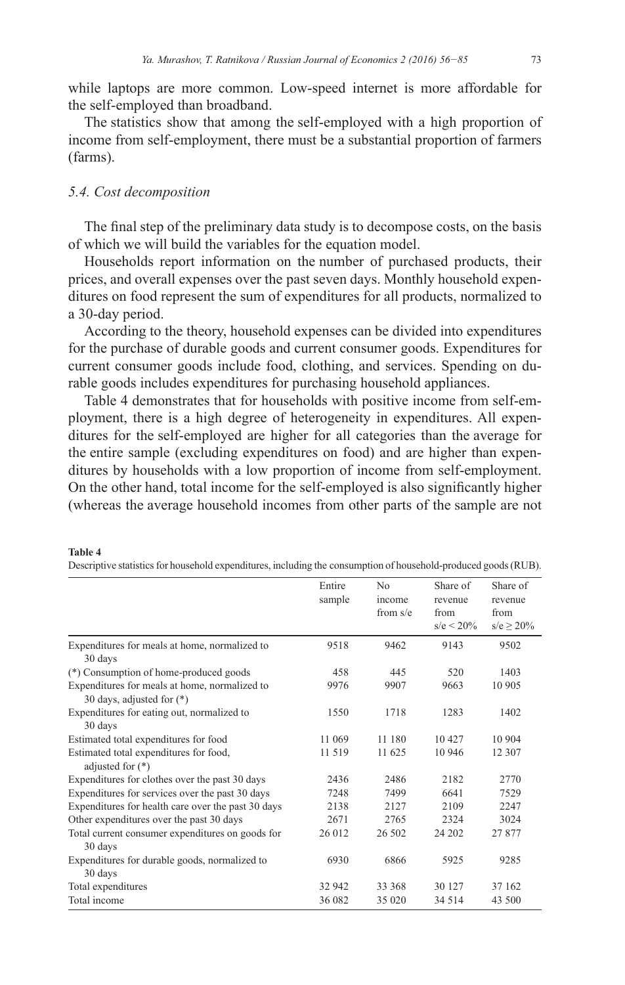while laptops are more common. Low-speed internet is more affordable for the self-employed than broadband.

The statistics show that among the self-employed with a high proportion of income from self-employment, there must be a substantial proportion of farmers (farms).

# *5.4. Cost decomposition*

The final step of the preliminary data study is to decompose costs, on the basis of which we will build the variables for the equation model.

Households report information on the number of purchased products, their prices, and overall expenses over the past seven days. Monthly household expenditures on food represent the sum of expenditures for all products, normalized to a 30-day period.

According to the theory, household expenses can be divided into expenditures for the purchase of durable goods and current consumer goods. Expenditures for current consumer goods include food, clothing, and services. Spending on durable goods includes expenditures for purchasing household appliances.

Table 4 demonstrates that for households with positive income from self-employment, there is a high degree of heterogeneity in expenditures. All expenditures for the self-employed are higher for all categories than the average for the entire sample (excluding expenditures on food) and are higher than expenditures by households with a low proportion of income from self-employment. On the other hand, total income for the self-employed is also significantly higher (whereas the average household incomes from other parts of the sample are not

|                                                              | Entire | N <sub>0</sub> | Share of     | Share of       |
|--------------------------------------------------------------|--------|----------------|--------------|----------------|
|                                                              | sample | income         | revenue      | revenue        |
|                                                              |        | from $s/e$     | from         | from           |
|                                                              |        |                | $s/e < 20\%$ | $s/e \ge 20\%$ |
| Expenditures for meals at home, normalized to<br>30 days     | 9518   | 9462           | 9143         | 9502           |
| (*) Consumption of home-produced goods                       | 458    | 445            | 520          | 1403           |
| Expenditures for meals at home, normalized to                | 9976   | 9907           | 9663         | 10 905         |
| 30 days, adjusted for $(*)$                                  |        |                |              |                |
| Expenditures for eating out, normalized to                   | 1550   | 1718           | 1283         | 1402           |
| 30 days                                                      |        |                |              |                |
| Estimated total expenditures for food                        | 11 069 | 11 180         | 10427        | 10 904         |
| Estimated total expenditures for food,<br>adjusted for $(*)$ | 11 519 | 11 625         | 10 946       | 12 307         |
| Expenditures for clothes over the past 30 days               | 2436   | 2486           | 2182         | 2770           |
| Expenditures for services over the past 30 days              | 7248   | 7499           | 6641         | 7529           |
| Expenditures for health care over the past 30 days           | 2138   | 2127           | 2109         | 2247           |
| Other expenditures over the past 30 days                     | 2671   | 2765           | 2324         | 3024           |
| Total current consumer expenditures on goods for             | 26 012 | 26 502         | 24 202       | 27 877         |
| 30 days                                                      |        |                |              |                |
| Expenditures for durable goods, normalized to                | 6930   | 6866           | 5925         | 9285           |
| 30 days                                                      |        |                |              |                |
| Total expenditures                                           | 32 942 | 33 368         | 30 127       | 37 162         |
| Total income                                                 | 36 082 | 35 0 20        | 34 5 14      | 43 500         |

#### **Table 4**

Descriptive statistics for household expenditures, including the consumption of household-produced goods (RUB)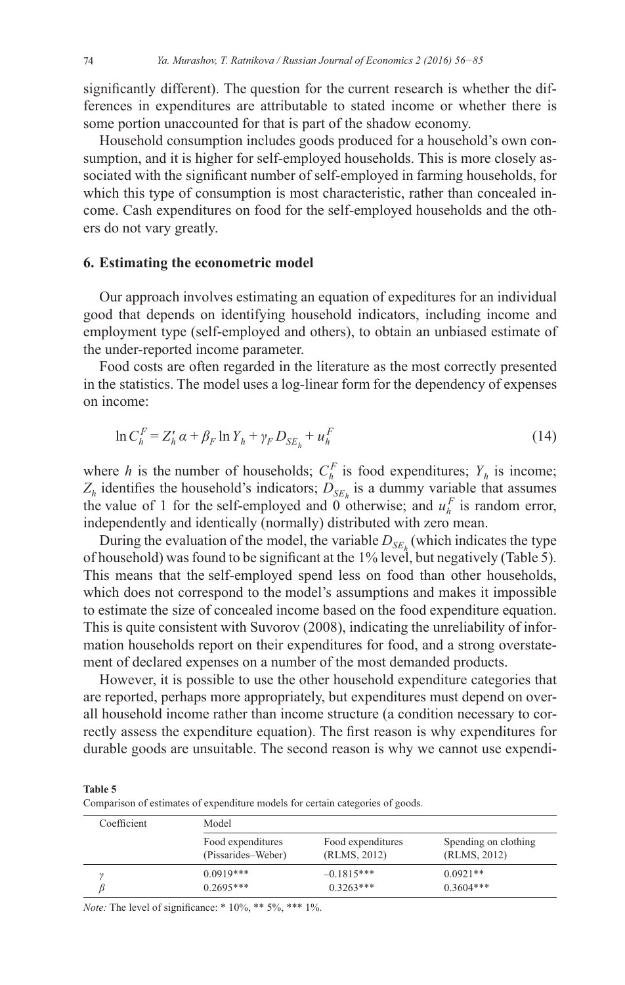significantly different). The question for the current research is whether the differences in expenditures are attributable to stated income or whether there is some portion unaccounted for that is part of the shadow economy.

Household consumption includes goods produced for a household's own consumption, and it is higher for self-employed households. This is more closely associated with the significant number of self-employed in farming households, for which this type of consumption is most characteristic, rather than concealed income. Cash expenditures on food for the self-employed households and the others do not vary greatly.

## 6. Estimating the econometric model

Our approach involves estimating an equation of expeditures for an individual good that depends on identifying household indicators, including income and employment type (self-employed and others), to obtain an unbiased estimate of the under-reported income parameter.

Food costs are often regarded in the literature as the most correctly presented in the statistics. The model uses a log-linear form for the dependency of expenses on income:

$$
\ln C_h^F = Z_h' \alpha + \beta_F \ln Y_h + \gamma_F D_{SE_h} + u_h^F \tag{14}
$$

where h is the number of households;  $C_h^F$  is food expenditures;  $Y_h$  is income;  $Z_h$  identifies the household's indicators;  $D_{SE_h}$  is a dummy variable that assumes the value of 1 for the self-employed and 0 otherwise; and  $u_k^F$  is random error, independently and identically (normally) distributed with zero mean.

During the evaluation of the model, the variable  $D_{SE<sub>k</sub>$  (which indicates the type of household) was found to be significant at the 1% level, but negatively (Table 5). This means that the self-employed spend less on food than other households, which does not correspond to the model's assumptions and makes it impossible to estimate the size of concealed income based on the food expenditure equation. This is quite consistent with Suvorov (2008), indicating the unreliability of information households report on their expenditures for food, and a strong overstatement of declared expenses on a number of the most demanded products.

However, it is possible to use the other household expenditure categories that are reported, perhaps more appropriately, but expenditures must depend on overall household income rather than income structure (a condition necessary to correctly assess the expenditure equation). The first reason is why expenditures for durable goods are unsuitable. The second reason is why we cannot use expendi-

Table 5

Comparison of estimates of expenditure models for certain categories of goods.

| Coefficient | Model              |                   |                      |
|-------------|--------------------|-------------------|----------------------|
|             | Food expenditures  | Food expenditures | Spending on clothing |
|             | (Pissarides–Weber) | (RLMS, 2012)      | (RLMS, 2012)         |
|             | $0.0919***$        | $-0.1815***$      | $0.0921**$           |
|             | $0.2695***$        | $0.3263***$       | $0.3604***$          |

*Note:* The level of significance: \*  $10\%$ , \*\*  $5\%$ , \*\*\*  $1\%$ .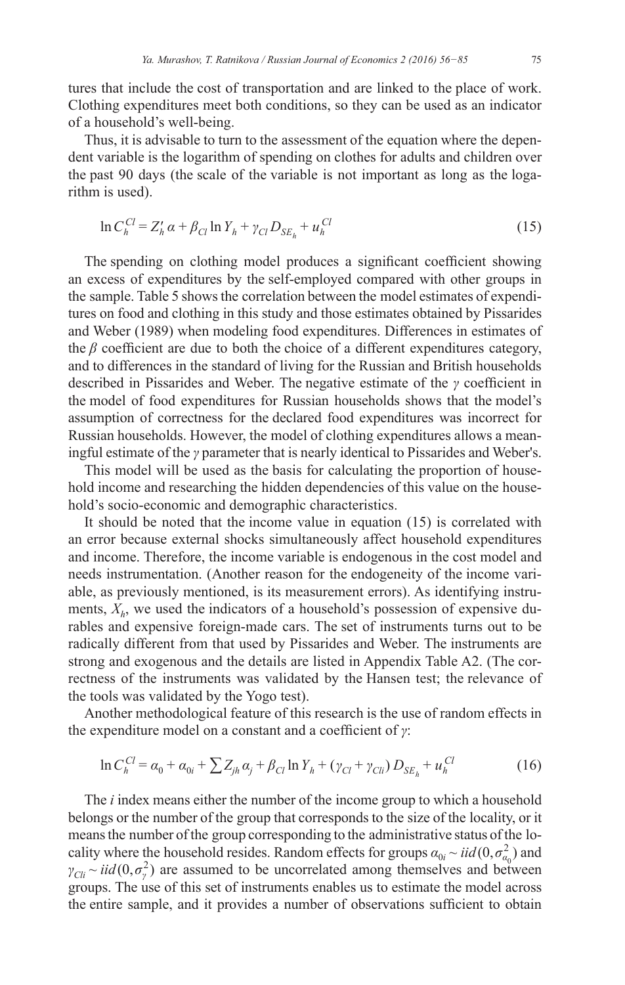tures that include the cost of transportation and are linked to the place of work. Clothing expenditures meet both conditions, so they can be used as an indicator of a household's well-being.

Thus, it is advisable to turn to the assessment of the equation where the dependent variable is the logarithm of spending on clothes for adults and children over the past 90 days (the scale of the variable is not important as long as the logarithm is used).

$$
\ln C_h^{Cl} = Z_h' \alpha + \beta_{Cl} \ln Y_h + \gamma_{Cl} D_{SE_h} + u_h^{Cl} \tag{15}
$$

The spending on clothing model produces a significant coefficient showing an excess of expenditures by the self-employed compared with other groups in the sample. Table 5 shows the correlation between the model estimates of expenditures on food and clothing in this study and those estimates obtained by Pissarides and Weber (1989) when modeling food expenditures. Differences in estimates of the  $\beta$  coefficient are due to both the choice of a different expenditures category, and to differences in the standard of living for the Russian and British households described in Pissarides and Weber. The negative estimate of the  $\gamma$  coefficient in the model of food expenditures for Russian households shows that the model's assumption of correctness for the declared food expenditures was incorrect for Russian households. However, the model of clothing expenditures allows a meaningful estimate of the  $\gamma$  parameter that is nearly identical to Pissarides and Weber's.

This model will be used as the basis for calculating the proportion of household income and researching the hidden dependencies of this value on the household's socio-economic and demographic characteristics.

It should be noted that the income value in equation (15) is correlated with an error because external shocks simultaneously affect household expenditures and income. Therefore, the income variable is endogenous in the cost model and needs instrumentation. (Another reason for the endogeneity of the income variable, as previously mentioned, is its measurement errors). As identifying instruments,  $X_h$ , we used the indicators of a household's possession of expensive durables and expensive foreign-made cars. The set of instruments turns out to be radically different from that used by Pissarides and Weber. The instruments are strong and exogenous and the details are listed in Appendix Table A2. (The correctness of the instruments was validated by the Hansen test; the relevance of the tools was validated by the Yogo test).

Another methodological feature of this research is the use of random effects in the expenditure model on a constant and a coefficient of  $\gamma$ :

$$
\ln C_h^{Cl} = \alpha_0 + \alpha_{0i} + \sum Z_{jh} \alpha_j + \beta_{Cl} \ln Y_h + (\gamma_{Cl} + \gamma_{Cli}) D_{SE_h} + u_h^{Cl}
$$
 (16)

The *i* index means either the number of the income group to which a household belongs or the number of the group that corresponds to the size of the locality, or it means the number of the group corresponding to the administrative status of the locality where the household resides. Random effects for groups  $a_{0i} \sim \frac{iid(0, \sigma_{\alpha}^2)}{2}$  and  $\gamma_{\text{Cl}i} \sim \text{i}id(0, \sigma_v^2)$  are assumed to be uncorrelated among themselves and between groups. The use of this set of instruments enables us to estimate the model across the entire sample, and it provides a number of observations sufficient to obtain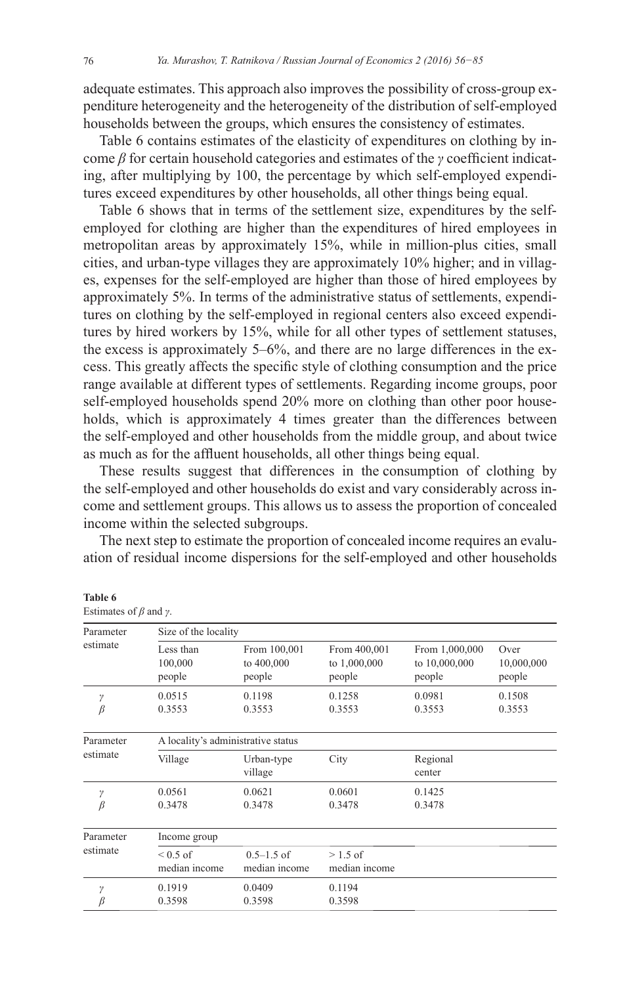adequate estimates. This approach also improves the possibility of cross-group expenditure heterogeneity and the heterogeneity of the distribution of self-employed households between the groups, which ensures the consistency of estimates.

Table 6 contains estimates of the elasticity of expenditures on clothing by income  $\beta$  for certain household categories and estimates of the  $\gamma$  coefficient indicating, after multiplying by 100, the percentage by which self-employed expenditures exceed expenditures by other households, all other things being equal.

Table 6 shows that in terms of the settlement size, expenditures by the selfemployed for clothing are higher than the expenditures of hired employees in metropolitan areas by approximately 15%, while in million-plus cities, small cities, and urban-type villages they are approximately 10% higher; and in villages, expenses for the self-employed are higher than those of hired employees by approximately 5%. In terms of the administrative status of settlements, expenditures on clothing by the self-employed in regional centers also exceed expenditures by hired workers by 15%, while for all other types of settlement statuses, the excess is approximately 5–6%, and there are no large differences in the excess. This greatly affects the specific style of clothing consumption and the price range available at different types of settlements. Regarding income groups, poor self-employed households spend 20% more on clothing than other poor households, which is approximately 4 times greater than the differences between the self-employed and other households from the middle group, and about twice as much as for the affluent households, all other things being equal.

These results suggest that differences in the consumption of clothing by the self-employed and other households do exist and vary considerably across income and settlement groups. This allows us to assess the proportion of concealed income within the selected subgroups.

The next step to estimate the proportion of concealed income requires an evaluation of residual income dispersions for the self-employed and other households

| Parameter                                  | Size of the locality               |                                      |                                          |                                           |                              |
|--------------------------------------------|------------------------------------|--------------------------------------|------------------------------------------|-------------------------------------------|------------------------------|
| estimate<br>Less than<br>100,000<br>people |                                    | From 100,001<br>to 400,000<br>people | From 400,001<br>to $1,000,000$<br>people | From 1,000,000<br>to 10,000,000<br>people | Over<br>10,000,000<br>people |
| γ<br>$\beta$                               | 0.0515<br>0.3553                   | 0.1198<br>0.3553                     | 0.1258<br>0.3553                         | 0.0981<br>0.3553                          | 0.1508<br>0.3553             |
| Parameter                                  | A locality's administrative status |                                      |                                          |                                           |                              |
| estimate                                   | Village                            | Urban-type<br>village                | City                                     | Regional<br>center                        |                              |
| γ<br>β                                     | 0.0561<br>0.3478                   | 0.0621<br>0.3478                     | 0.0601<br>0.3478                         | 0.1425<br>0.3478                          |                              |
| Parameter                                  | Income group                       |                                      |                                          |                                           |                              |
| estimate                                   | $\leq 0.5$ of<br>median income     | $0.5 - 1.5$ of<br>median income      | $>1.5$ of<br>median income               |                                           |                              |
| γ<br>β                                     | 0.1919<br>0.3598                   | 0.0409<br>0.3598                     | 0.1194<br>0.3598                         |                                           |                              |

#### **Table 6**

Estimates of *ȕ* and *Ȗ*.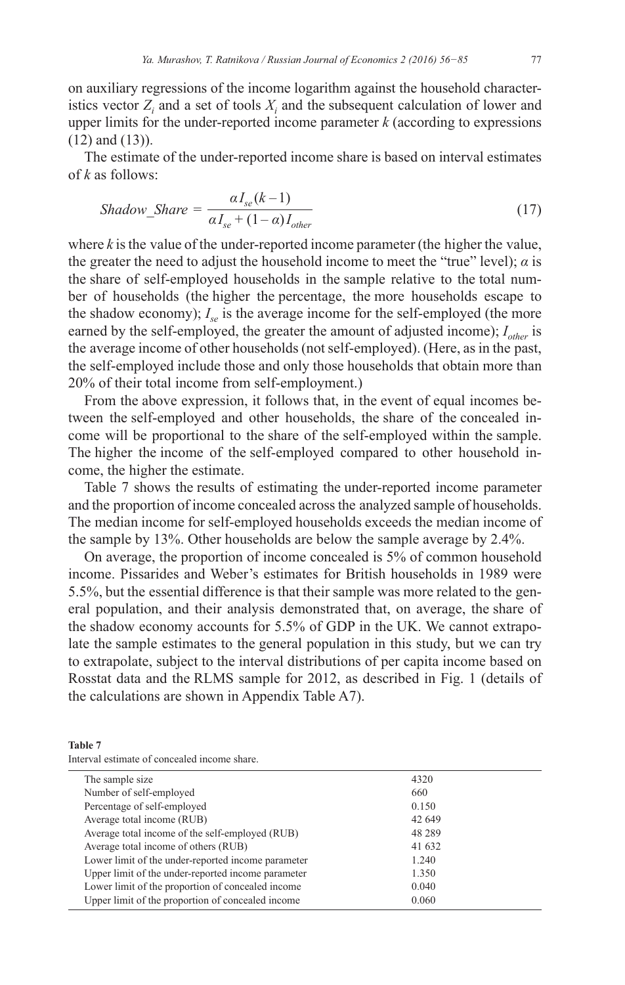on auxiliary regressions of the income logarithm against the household characteristics vector  $Z_i$  and a set of tools  $X_i$  and the subsequent calculation of lower and upper limits for the under-reported income parameter *k* (according to expressions  $(12)$  and  $(13)$ ).

The estimate of the under-reported income share is based on interval estimates of *k* as follows:

$$
Shadow\_Share = \frac{\alpha I_{se}(k-1)}{\alpha I_{se} + (1-\alpha)I_{other}} \tag{17}
$$

where  $k$  is the value of the under-reported income parameter (the higher the value, the greater the need to adjust the household income to meet the "true" level);  $\alpha$  is the share of self-employed households in the sample relative to the total number of households (the higher the percentage, the more households escape to the shadow economy);  $I_{\gamma}$  is the average income for the self-employed (the more earned by the self-employed, the greater the amount of adjusted income);  $I_{other}$  is the average income of other households (not self-employed). (Here, as in the past, the self-employed include those and only those households that obtain more than 20% of their total income from self-employment.)

From the above expression, it follows that, in the event of equal incomes between the self-employed and other households, the share of the concealed income will be proportional to the share of the self-employed within the sample. The higher the income of the self-employed compared to other household income, the higher the estimate.

Table 7 shows the results of estimating the under-reported income parameter and the proportion of income concealed across the analyzed sample of households. The median income for self-employed households exceeds the median income of the sample by 13%. Other households are below the sample average by  $2.4\%$ .

On average, the proportion of income concealed is 5% of common household income. Pissarides and Weber's estimates for British households in 1989 were 5.5%, but the essential difference is that their sample was more related to the general population, and their analysis demonstrated that, on average, the share of the shadow economy accounts for 5.5% of GDP in the UK. We cannot extrapolate the sample estimates to the general population in this study, but we can try to extrapolate, subject to the interval distributions of per capita income based on Rosstat data and the RLMS sample for 2012, as described in Fig. 1 ( details of the calculations are shown in Appendix Table A7).

| Table 7 |                                              |  |  |
|---------|----------------------------------------------|--|--|
|         | Interval estimate of concealed income share. |  |  |

| The sample size                                    | 4320    |  |
|----------------------------------------------------|---------|--|
| Number of self-employed                            | 660     |  |
| Percentage of self-employed                        | 0.150   |  |
| Average total income (RUB)                         | 42 649  |  |
| Average total income of the self-employed (RUB)    | 48 28 9 |  |
| Average total income of others (RUB)               | 41 632  |  |
| Lower limit of the under-reported income parameter | 1.240   |  |
| Upper limit of the under-reported income parameter | 1.350   |  |
| Lower limit of the proportion of concealed income  | 0.040   |  |
| Upper limit of the proportion of concealed income  | 0.060   |  |
|                                                    |         |  |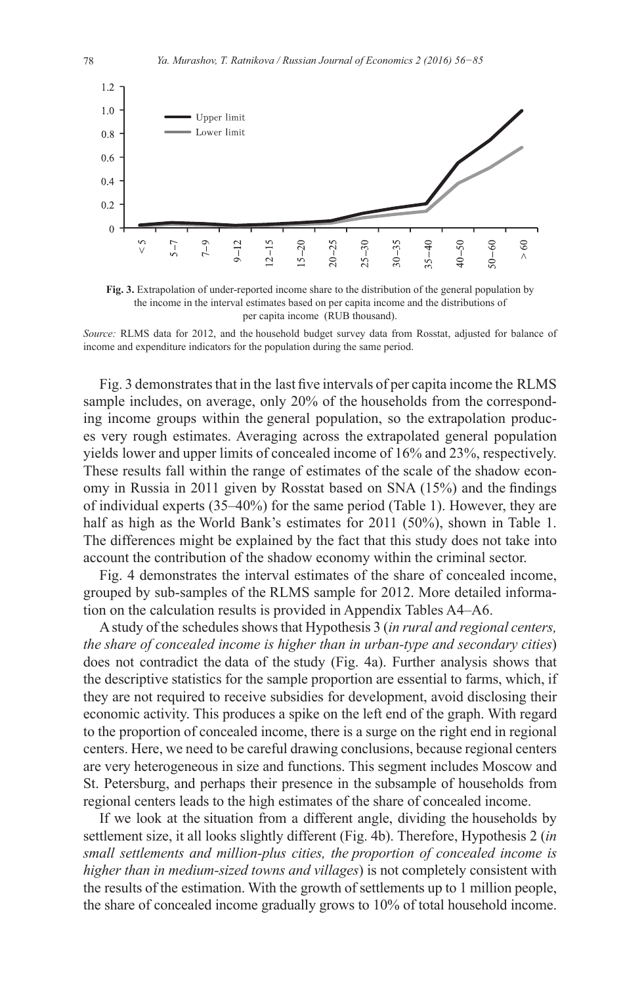

**Fig. 3.** Extrapolation of under-reported income share to the distribution of the general population by the income in the interval estimates based on per capita income and the distributions of per capita income (RUB thousand).

*Source:* RLMS data for 2012, and the household budget survey data from Rosstat, adjusted for balance of income and expenditure indicators for the population during the same period.

Fig. 3 demonstrates that in the last five intervals of per capita income the RLMS sample includes, on average, only 20% of the households from the corresponding income groups within the general population, so the extrapolation produces very rough estimates. Averaging across the extrapolated general population yields lower and upper limits of concealed income of  $16\%$  and  $23\%$ , respectively. These results fall within the range of estimates of the scale of the shadow economy in Russia in 2011 given by Rosstat based on SNA  $(15\%)$  and the findings of individual experts  $(35-40\%)$  for the same period (Table 1). However, they are half as high as the World Bank's estimates for 2011 (50%), shown in Table 1. The differences might be explained by the fact that this study does not take into account the contribution of the shadow economy within the criminal sector.

Fig. 4 demonstrates the interval estimates of the share of concealed income, grouped by sub-samples of the RLMS sample for 2012. More detailed information on the calculation results is provided in Appendix Tables A4–A6.

A study of the schedules shows that Hypothesis 3 (in rural and regional centers, *the share of concealed income is higher than in urban-type and secondary cities*) does not contradict the data of the study (Fig. 4a). Further analysis shows that the descriptive statistics for the sample proportion are essential to farms, which, if they are not required to receive subsidies for development, avoid disclosing their economic activity. This produces a spike on the left end of the graph. With regard to the proportion of concealed income, there is a surge on the right end in regional centers. Here, we need to be careful drawing conclusions, because regional centers are very heterogeneous in size and functions. This segment includes Moscow and St. Petersburg, and perhaps their presence in the subsample of households from regional centers leads to the high estimates of the share of concealed income.

If we look at the situation from a different angle, dividing the households by settlement size, it all looks slightly different (Fig. 4b). Therefore, Hypothesis 2 (in *small settlements and million-plus cities, the proportion of concealed income is higher than in medium-sized towns and villages*) is not completely consistent with the results of the estimation. With the growth of settlements up to 1 million people, the share of concealed income gradually grows to 10% of total household income.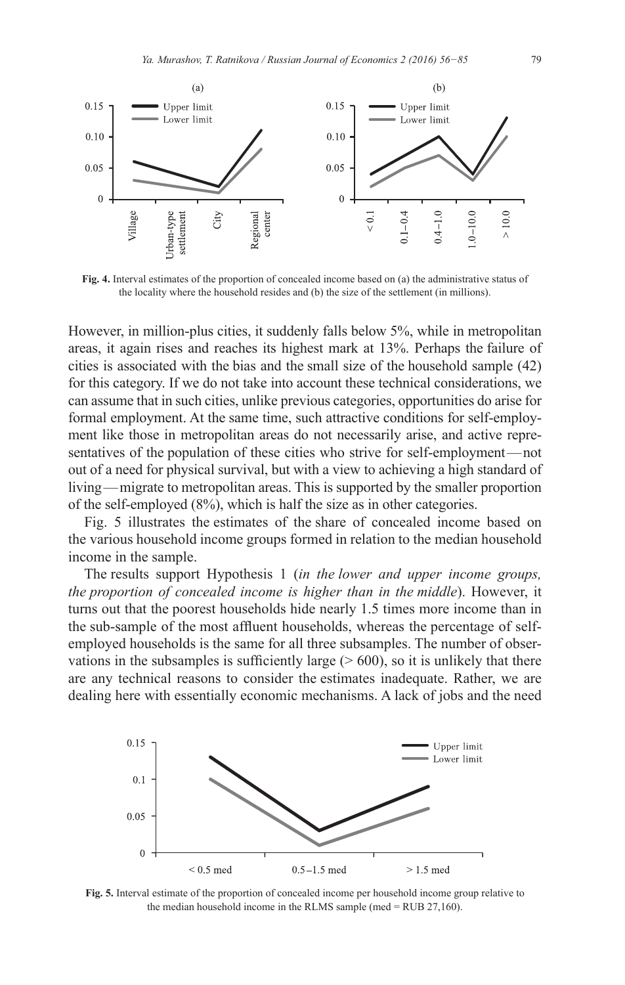

**Fig. 4.** Interval estimates of the proportion of concealed income based on (a) the administrative status of the locality where the household resides and (b) the size of the settlement (in millions).

However, in million-plus cities, it suddenly falls below 5%, while in metropolitan areas, it again rises and reaches its highest mark at 13%. Perhaps the failure of cities is associated with the bias and the small size of the household sample  $(42)$ for this category. If we do not take into account these technical considerations, we can assume that in such cities, unlike previous categories, opportunities do arise for formal employment. At the same time, such attractive conditions for self-employment like those in metropolitan areas do not necessarily arise, and active representatives of the population of these cities who strive for self-employment—not out of a need for physical survival, but with a view to achieving a high standard of living — migrate to metropolitan areas. This is supported by the smaller proportion of the self-employed (8%), which is half the size as in other categories.

Fig. 5 illustrates the estimates of the share of concealed income based on the various household income groups formed in relation to the median household income in the sample.

The results support Hypothesis 1 *(in the lower and upper income groups, the proportion of concealed income is higher than in the middle*). However, it turns out that the poorest households hide nearly 1.5 times more income than in the sub-sample of the most affluent households, whereas the percentage of selfemployed households is the same for all three subsamples. The number of observations in the subsamples is sufficiently large  $($  > 600), so it is unlikely that there are any technical reasons to consider the estimates inadequate. Rather, we are dealing here with essentially economic mechanisms. A lack of jobs and the need



**Fig. 5.** Interval estimate of the proportion of concealed income per household income group relative to the median household income in the RLMS sample (med = RUB 27,160).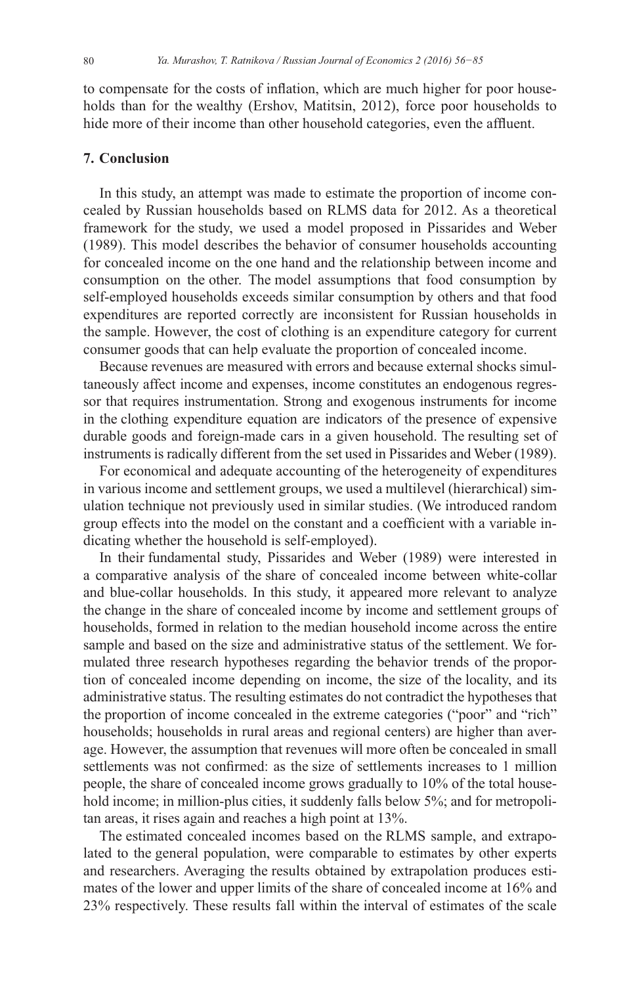to compensate for the costs of inflation, which are much higher for poor households than for the wealthy (Ershov, Matitsin, 2012), force poor households to hide more of their income than other household categories, even the affluent.

### **7. Conclusion**

In this study, an attempt was made to estimate the proportion of income concealed by Russian households based on RLMS data for 2012. As a theoretical framework for the study, we used a model proposed in Pissarides and Weber (1989). This model describes the behavior of consumer households accounting for concealed income on the one hand and the relationship between income and consumption on the other. The model assumptions that food consumption by self-employed households exceeds similar consumption by others and that food expenditures are reported correctly are inconsistent for Russian households in the sample. However, the cost of clothing is an expenditure category for current consumer goods that can help evaluate the proportion of concealed income.

Because revenues are measured with errors and because external shocks simultaneously affect income and expenses, income constitutes an endogenous regressor that requires instrumentation. Strong and exogenous instruments for income in the clothing expenditure equation are indicators of the presence of expensive durable goods and foreign-made cars in a given household. The resulting set of instruments is radically different from the set used in Pissarides and Weber (1989).

For economical and adequate accounting of the heterogeneity of expenditures in various income and settlement groups, we used a multilevel (hierarchical) simulation technique not previously used in similar studies. (We introduced random group effects into the model on the constant and a coefficient with a variable indicating whether the household is self-employed).

In their fundamental study, Pissarides and Weber (1989) were interested in a comparative analysis of the share of concealed income between white-collar and blue-collar households. In this study, it appeared more relevant to analyze the change in the share of concealed income by income and settlement groups of households, formed in relation to the median household income across the entire sample and based on the size and administrative status of the settlement. We formulated three research hypotheses regarding the behavior trends of the proportion of concealed income depending on income, the size of the locality, and its administrative status. The resulting estimates do not contradict the hypotheses that the proportion of income concealed in the extreme categories ("poor" and "rich" households; households in rural areas and regional centers) are higher than average. However, the assumption that revenues will more often be concealed in small settlements was not confirmed: as the size of settlements increases to 1 million people, the share of concealed income grows gradually to 10% of the total household income; in million-plus cities, it suddenly falls below 5%; and for metropolitan areas, it rises again and reaches a high point at 13%.

The estimated concealed incomes based on the RLMS sample, and extrapolated to the general population, were comparable to estimates by other experts and researchers. Averaging the results obtained by extrapolation produces estimates of the lower and upper limits of the share of concealed income at 16% and 23% respectively. These results fall within the interval of estimates of the scale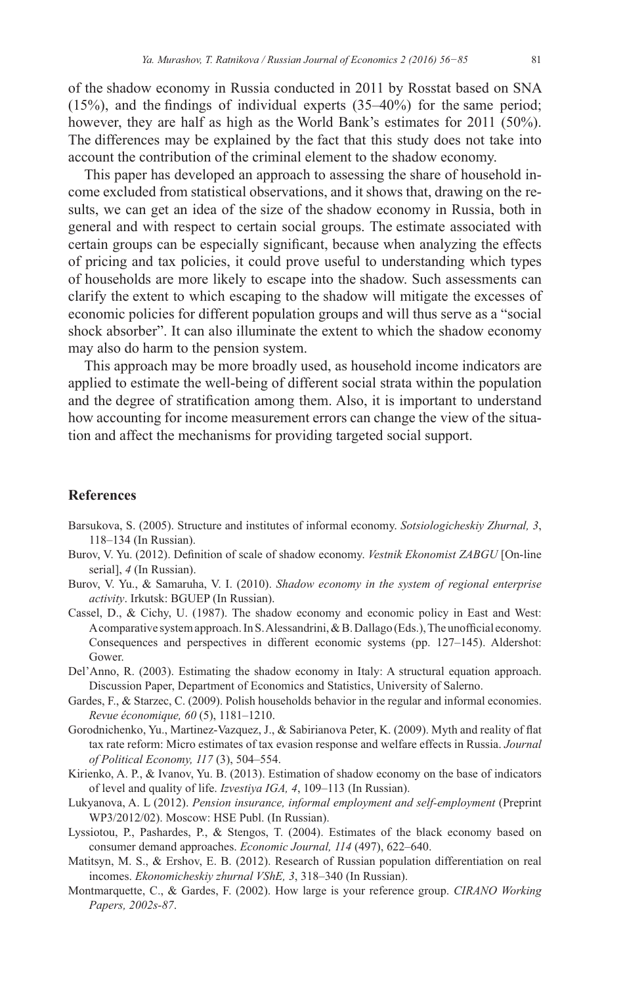of the shadow economy in Russia conducted in 2011 by Rosstat based on SNA  $(15\%)$ , and the findings of individual experts  $(35-40\%)$  for the same period; however, they are half as high as the World Bank's estimates for 2011 (50%). The differences may be explained by the fact that this study does not take into account the contribution of the criminal element to the shadow economy.

This paper has developed an approach to assessing the share of household income excluded from statistical observations, and it shows that, drawing on the results, we can get an idea of the size of the shadow economy in Russia, both in general and with respect to certain social groups. The estimate associated with certain groups can be especially significant, because when analyzing the effects of pricing and tax policies, it could prove useful to understanding which types of households are more likely to escape into the shadow. Such assessments can clarify the extent to which escaping to the shadow will mitigate the excesses of economic policies for different population groups and will thus serve as a "social shock absorber". It can also illuminate the extent to which the shadow economy may also do harm to the pension system.

This approach may be more broadly used, as household income indicators are applied to estimate the well-being of different social strata within the population and the degree of stratification among them. Also, it is important to understand how accounting for income measurement errors can change the view of the situation and affect the mechanisms for providing targeted social support.

# **References**

- Barsukova, S. (2005). Structure and institutes of informal economy. *Sotsiologicheskiy Zhurnal*, 3,  $118-134$  (In Russian).
- Burov, V. Yu. (2012). Definition of scale of shadow economy. Vestnik Ekonomist ZABGU [On-line serial], *4* (In Russian).
- Burov, V. Yu., & Samaruha, V. I. (2010). Shadow economy in the system of regional enterprise *activity*. Irkutsk: BGUEP (In Russian).
- Cassel, D., & Cichy, U. (1987). The shadow economy and economic policy in East and West: A comparative system approach. In S. Alessandrini, & B. Dallago (Eds.), The unofficial economy. Consequences and perspectives in different economic systems (pp. 127-145). Aldershot: Gower.
- Del'Anno, R. (2003). Estimating the shadow economy in Italy: A structural equation approach. Discussion Paper, Department of Economics and Statistics, University of Salerno.
- Gardes, F., & Starzec, C. (2009). Polish households behavior in the regular and informal economies. *Revue économique, 60* (5), 1181–1210.
- Gorodnichenko, Yu., Martinez-Vazquez, J., & Sabirianova Peter, K. (2009). Myth and reality of flat tax rate reform: Micro estimates of tax evasion response and welfare effects in Russia. *Journal*  of Political Economy, 117 (3), 504-554.
- Kirienko, A. P., & Ivanov, Yu. B. (2013). Estimation of shadow economy on the base of indicators of level and quality of life. *Izvestiva IGA, 4*, 109–113 (In Russian).
- Lukyanova, A. L (2012). *Pension insurance, informal employment and self-employment* (Preprint WP3/2012/02). Moscow: HSE Publ. (In Russian).
- Lyssiotou, P., Pashardes, P., & Stengos, T. (2004). Estimates of the black economy based on consumer demand approaches. *Economic Journal*, 114 (497), 622–640.
- Matitsyn, M. S., & Ershov, E. B. (2012). Research of Russian population differentiation on real incomes. *Ekonomicheskiy zhurnal VShE*, 3, 318–340 (In Russian).
- Montmarquette, C., & Gardes, F. (2002). How large is your reference group. CIRANO Working *Papers, 2002s-87*.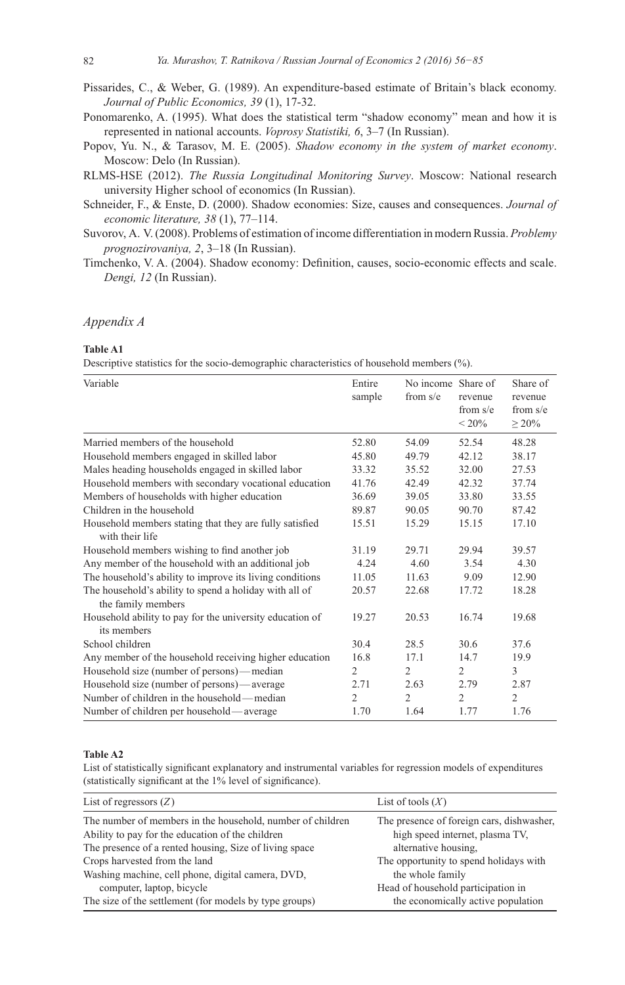Pissarides, C., & Weber, G. (1989). An expenditure-based estimate of Britain's black economy. Journal of Public Economics, 39 (1), 17-32.

- Ponomarenko, A. (1995). What does the statistical term "shadow economy" mean and how it is represented in national accounts. Voprosy Statistiki, 6, 3-7 (In Russian).
- Popov, Yu. N., & Tarasov, M. E. (2005). Shadow economy in the system of market economy. Moscow: Delo (In Russian).
- RLMS-HSE (2012). The Russia Longitudinal Monitoring Survey. Moscow: National research university Higher school of economics (In Russian).
- Schneider, F., & Enste, D. (2000). Shadow economies: Size, causes and consequences. Journal of economic literature,  $38(1)$ ,  $77-114$ .
- Suvorov, A. V. (2008). Problems of estimation of income differentiation in modern Russia. Problemy prognozirovaniya, 2, 3-18 (In Russian).
- Timchenko, V. A. (2004). Shadow economy: Definition, causes, socio-economic effects and scale. Dengi, 12 (In Russian).

#### Appendix A

#### **Table A1**

Descriptive statistics for the socio-demographic characteristics of household members (%).

| Variable                                                                     | Entire         | No income Share of |                         | Share of                  |
|------------------------------------------------------------------------------|----------------|--------------------|-------------------------|---------------------------|
|                                                                              | sample         | from $s/e$         | revenue                 | revenue                   |
|                                                                              |                |                    | from $s/e$<br>${}<$ 20% | from $s/e$<br>$\geq 20\%$ |
| Married members of the household                                             | 52.80          | 54.09              | 52.54                   | 48.28                     |
| Household members engaged in skilled labor                                   | 45.80          | 49.79              | 42.12                   | 38.17                     |
| Males heading households engaged in skilled labor                            | 33.32          | 35.52              | 32.00                   | 27.53                     |
| Household members with secondary vocational education                        | 41.76          | 42.49              | 42.32                   | 37.74                     |
| Members of households with higher education                                  | 36.69          | 39.05              | 33.80                   | 33.55                     |
| Children in the household                                                    | 89.87          | 90.05              | 90.70                   | 87.42                     |
| Household members stating that they are fully satisfied<br>with their life   | 15.51          | 15.29              | 15.15                   | 17.10                     |
| Household members wishing to find another job                                | 31.19          | 29.71              | 29.94                   | 39.57                     |
| Any member of the household with an additional job                           | 4.24           | 4.60               | 3.54                    | 4.30                      |
| The household's ability to improve its living conditions                     | 11.05          | 11.63              | 9.09                    | 12.90                     |
| The household's ability to spend a holiday with all of<br>the family members | 20.57          | 22.68              | 17.72                   | 18.28                     |
| Household ability to pay for the university education of<br>its members      | 19.27          | 20.53              | 16.74                   | 19.68                     |
| School children                                                              | 30.4           | 28.5               | 30.6                    | 37.6                      |
| Any member of the household receiving higher education                       | 16.8           | 17.1               | 14.7                    | 19.9                      |
| Household size (number of persons)—median                                    | $\overline{c}$ | $\overline{2}$     | $\overline{2}$          | 3                         |
| Household size (number of persons)—average                                   | 2.71           | 2.63               | 2.79                    | 2.87                      |
| Number of children in the household—median                                   | $\overline{2}$ | $\overline{c}$     | $\overline{2}$          | $\overline{2}$            |
| Number of children per household—average                                     | 1.70           | 1.64               | 1.77                    | 1.76                      |

#### Table A<sub>2</sub>

List of statistically significant explanatory and instrumental variables for regression models of expenditures (statistically significant at the 1% level of significance).

| List of regressors $(Z)$                                   | List of tools $(X)$                       |
|------------------------------------------------------------|-------------------------------------------|
| The number of members in the household, number of children | The presence of foreign cars, dishwasher, |
| Ability to pay for the education of the children           | high speed internet, plasma TV,           |
| The presence of a rented housing, Size of living space     | alternative housing.                      |
| Crops harvested from the land                              | The opportunity to spend holidays with    |
| Washing machine, cell phone, digital camera, DVD,          | the whole family                          |
| computer, laptop, bicycle                                  | Head of household participation in        |
| The size of the settlement (for models by type groups)     | the economically active population        |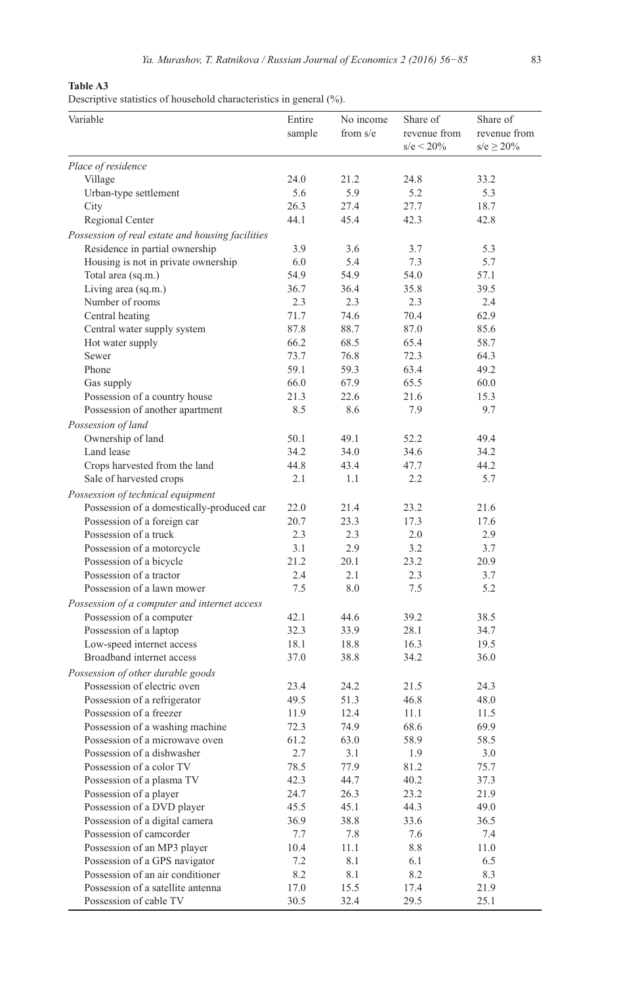# **Table A3**

Descriptive statistics of household characteristics in general (%).

| Variable                                         | Entire<br>sample | No income<br>from $s/e$ | Share of<br>revenue from<br>$s/e < 20\%$ | Share of<br>revenue from<br>$s/e \ge 20\%$ |
|--------------------------------------------------|------------------|-------------------------|------------------------------------------|--------------------------------------------|
| Place of residence                               |                  |                         |                                          |                                            |
| Village                                          | 24.0             | 21.2                    | 24.8                                     | 33.2                                       |
| Urban-type settlement                            | 5.6              | 5.9                     | 5.2                                      | 5.3                                        |
| City                                             | 26.3             | 27.4                    | 27.7                                     | 18.7                                       |
| Regional Center                                  | 44.1             | 45.4                    | 42.3                                     | 42.8                                       |
| Possession of real estate and housing facilities |                  |                         |                                          |                                            |
| Residence in partial ownership                   | 3.9              | 3.6                     | 3.7                                      | 5.3                                        |
| Housing is not in private ownership              | 6.0              | 5.4                     | 7.3                                      | 5.7                                        |
| Total area (sq.m.)                               | 54.9             | 54.9                    | 54.0                                     | 57.1                                       |
| Living area (sq.m.)                              | 36.7             | 36.4                    | 35.8                                     | 39.5                                       |
| Number of rooms                                  | 2.3              | 2.3                     | 2.3                                      | 2.4                                        |
| Central heating                                  | 71.7             | 74.6                    | 70.4                                     | 62.9                                       |
| Central water supply system                      | 87.8             | 88.7                    | 87.0                                     | 85.6                                       |
| Hot water supply                                 | 66.2             | 68.5                    | 65.4                                     | 58.7                                       |
| Sewer                                            | 73.7             | 76.8                    | 72.3                                     | 64.3                                       |
| Phone                                            | 59.1             | 59.3                    | 63.4                                     | 49.2                                       |
| Gas supply                                       | 66.0             | 67.9                    | 65.5                                     | 60.0                                       |
| Possession of a country house                    | 21.3             | 22.6                    | 21.6                                     | 15.3                                       |
| Possession of another apartment                  | 8.5              | 8.6                     | 7.9                                      | 9.7                                        |
| Possession of land                               |                  |                         |                                          |                                            |
| Ownership of land                                | 50.1             | 49.1                    | 52.2                                     | 49.4                                       |
| Land lease                                       | 34.2             | 34.0                    | 34.6                                     | 34.2                                       |
| Crops harvested from the land                    | 44.8             | 43.4                    | 47.7                                     | 44.2                                       |
| Sale of harvested crops                          | 2.1              | 1.1                     | 2.2                                      | 5.7                                        |
| Possession of technical equipment                |                  |                         |                                          |                                            |
| Possession of a domestically-produced car        | 22.0             | 21.4                    | 23.2                                     | 21.6                                       |
| Possession of a foreign car                      | 20.7             | 23.3                    | 17.3                                     | 17.6                                       |
| Possession of a truck                            | 2.3              | 2.3                     | 2.0                                      | 2.9                                        |
| Possession of a motorcycle                       | 3.1              | 2.9                     | 3.2                                      | 3.7                                        |
| Possession of a bicycle                          | 21.2             | 20.1                    | 23.2                                     | 20.9                                       |
| Possession of a tractor                          | 2.4              | 2.1                     | 2.3                                      | 3.7                                        |
| Possession of a lawn mower                       | 7.5              | 8.0                     | 7.5                                      | 5.2                                        |
| Possession of a computer and internet access     |                  |                         |                                          |                                            |
| Possession of a computer                         | 42.1             | 44.6                    | 39.2                                     | 38.5                                       |
| Possession of a laptop                           | 32.3             | 33.9                    | 28.1                                     | 34.7                                       |
| Low-speed internet access                        | 18.1             | 18.8                    | 16.3                                     | 19.5                                       |
| Broadband internet access                        | 37.0             | 38.8                    | 34.2                                     | 36.0                                       |
| Possession of other durable goods                |                  |                         |                                          |                                            |
| Possession of electric oven                      | 23.4             | 24.2                    | 21.5                                     | 24.3                                       |
| Possession of a refrigerator                     | 49.5             | 51.3                    | 46.8                                     | 48.0                                       |
| Possession of a freezer                          | 11.9             | 12.4                    | 11.1                                     | 11.5                                       |
| Possession of a washing machine                  | 72.3             | 74.9                    | 68.6                                     | 69.9                                       |
| Possession of a microwave oven                   | 61.2             | 63.0                    | 58.9                                     | 58.5                                       |
| Possession of a dishwasher                       | 2.7              | 3.1                     | 1.9                                      | 3.0                                        |
| Possession of a color TV                         | 78.5             | 77.9                    | 81.2                                     | 75.7                                       |
| Possession of a plasma TV                        | 42.3             | 44.7                    | 40.2                                     | 37.3                                       |
| Possession of a player                           | 24.7             | 26.3                    | 23.2                                     | 21.9                                       |
| Possession of a DVD player                       | 45.5             | 45.1                    | 44.3                                     | 49.0                                       |
| Possession of a digital camera                   | 36.9             | 38.8                    | 33.6                                     | 36.5                                       |
| Possession of camcorder                          | 7.7              | 7.8                     | 7.6                                      | 7.4                                        |
| Possession of an MP3 player                      | 10.4             | 11.1                    | 8.8                                      | 11.0                                       |
| Possession of a GPS navigator                    | 7.2              | 8.1                     | 6.1                                      | 6.5                                        |
| Possession of an air conditioner                 | 8.2              | 8.1                     | 8.2                                      | 8.3                                        |
| Possession of a satellite antenna                | 17.0             | 15.5                    | 17.4                                     | 21.9                                       |
| Possession of cable TV                           | 30.5             | 32.4                    | 29.5                                     | 25.1                                       |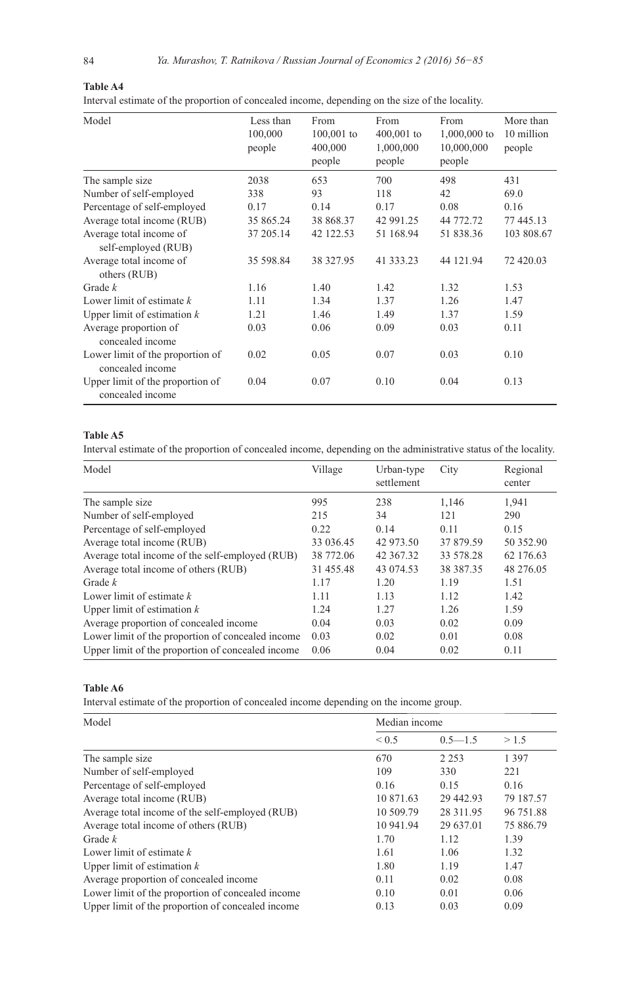| 4 |  |  |  |
|---|--|--|--|
|   |  |  |  |

# **Table A4** Interval estimate of the proportion of concealed income, depending on the size of the locality.

| Model                                                | Less than<br>100,000<br>people | From<br>$100,001$ to<br>400,000<br>people | From<br>400,001 to<br>1,000,000<br>people | From<br>1,000,000 to<br>10,000,000<br>people | More than<br>10 million<br>people |  |  |
|------------------------------------------------------|--------------------------------|-------------------------------------------|-------------------------------------------|----------------------------------------------|-----------------------------------|--|--|
| The sample size                                      | 2038                           | 653                                       | 700                                       | 498                                          | 431                               |  |  |
| Number of self-employed                              | 338                            | 93                                        | 118                                       | 42                                           | 69.0                              |  |  |
| Percentage of self-employed                          | 0.17                           | 0.14                                      | 0.17                                      | 0.08                                         | 0.16                              |  |  |
| Average total income (RUB)                           | 35 865.24                      | 38 868.37                                 | 42 991.25                                 | 44 772.72                                    | 77 445.13                         |  |  |
| Average total income of<br>self-employed (RUB)       | 37 205.14                      | 42 122.53                                 | 51 168.94                                 | 51 838.36                                    | 103 808.67                        |  |  |
| Average total income of<br>others (RUB)              | 35 598.84                      | 38 327.95                                 | 41 333.23                                 | 44 121.94                                    | 72 420.03                         |  |  |
| Grade $k$                                            | 1.16                           | 1.40                                      | 1.42                                      | 1.32                                         | 1.53                              |  |  |
| Lower limit of estimate $k$                          | 1.11                           | 1.34                                      | 1.37                                      | 1.26                                         | 1.47                              |  |  |
| Upper limit of estimation $k$                        | 1.21                           | 1.46                                      | 1.49                                      | 1.37                                         | 1.59                              |  |  |
| Average proportion of<br>concealed income            | 0.03                           | 0.06                                      | 0.09                                      | 0.03                                         | 0.11                              |  |  |
| Lower limit of the proportion of<br>concealed income | 0.02                           | 0.05                                      | 0.07                                      | 0.03                                         | 0.10                              |  |  |
| Upper limit of the proportion of<br>concealed income | 0.04                           | 0.07                                      | 0.10                                      | 0.04                                         | 0.13                              |  |  |

# **Table A5**

Interval estimate of the proportion of concealed income, depending on the administrative status of the locality.

| Model                                             | Village   | Urban-type<br>settlement | Regional<br>City<br>center<br>1.146<br>1.941<br>121<br>290<br>0.15<br>0.11<br>37 879.59<br>33 578.28<br>38 387 35<br>1.19<br>1.51<br>1.42<br>1.12<br>1.26<br>1.59 |           |
|---------------------------------------------------|-----------|--------------------------|-------------------------------------------------------------------------------------------------------------------------------------------------------------------|-----------|
| The sample size                                   | 995       | 238                      |                                                                                                                                                                   |           |
| Number of self-employed                           | 215       | 34                       |                                                                                                                                                                   |           |
| Percentage of self-employed                       | 0.22      | 0.14                     |                                                                                                                                                                   |           |
| Average total income (RUB)                        | 33 036.45 | 42 973.50                |                                                                                                                                                                   | 50 352.90 |
| Average total income of the self-employed (RUB)   | 38 772.06 | 42 367.32                |                                                                                                                                                                   | 62 176.63 |
| Average total income of others (RUB)              | 31 455.48 | 43 074.53                |                                                                                                                                                                   | 48 276.05 |
| Grade $k$                                         | 1.17      | 1.20                     |                                                                                                                                                                   |           |
| Lower limit of estimate $k$                       | 1.11      | 1.13                     |                                                                                                                                                                   |           |
| Upper limit of estimation $k$                     | 1.24      | 1.27                     |                                                                                                                                                                   |           |
| Average proportion of concealed income            | 0.04      | 0.03                     | 0.02                                                                                                                                                              | 0.09      |
| Lower limit of the proportion of concealed income | 0.03      | 0.02                     | 0.01                                                                                                                                                              | 0.08      |
| Upper limit of the proportion of concealed income | 0.06      | 0.04                     | 0.02                                                                                                                                                              | 0.11      |

# **Table A6**

Interval estimate of the proportion of concealed income depending on the income group.

| Model                                             | Median income                                                                                                                                                                                              |             |                                                                                                               |  |  |  |  |  |
|---------------------------------------------------|------------------------------------------------------------------------------------------------------------------------------------------------------------------------------------------------------------|-------------|---------------------------------------------------------------------------------------------------------------|--|--|--|--|--|
|                                                   | ${}_{0.5}$                                                                                                                                                                                                 | $0.5 - 1.5$ | >1.5<br>1 3 9 7<br>221<br>0.16<br>79 187.57<br>96 751.88<br>75 886.79<br>1.39<br>1.32<br>1.47<br>0.08<br>0.06 |  |  |  |  |  |
| The sample size                                   | 670<br>2 2 5 3<br>109<br>330<br>0.15<br>0.16<br>10 871.63<br>29 442.93<br>10 509.79<br>28 311.95<br>10 941.94<br>29 637.01<br>1.70<br>1.12<br>1.61<br>1.06<br>1.80<br>1.19<br>0.02<br>0.11<br>0.01<br>0.10 |             |                                                                                                               |  |  |  |  |  |
| Number of self-employed                           |                                                                                                                                                                                                            |             |                                                                                                               |  |  |  |  |  |
| Percentage of self-employed                       |                                                                                                                                                                                                            |             |                                                                                                               |  |  |  |  |  |
| Average total income (RUB)                        |                                                                                                                                                                                                            |             |                                                                                                               |  |  |  |  |  |
| Average total income of the self-employed (RUB)   |                                                                                                                                                                                                            |             |                                                                                                               |  |  |  |  |  |
| Average total income of others (RUB)              |                                                                                                                                                                                                            |             |                                                                                                               |  |  |  |  |  |
| Grade $k$                                         |                                                                                                                                                                                                            |             |                                                                                                               |  |  |  |  |  |
| Lower limit of estimate $k$                       |                                                                                                                                                                                                            |             |                                                                                                               |  |  |  |  |  |
| Upper limit of estimation $k$                     |                                                                                                                                                                                                            |             |                                                                                                               |  |  |  |  |  |
| Average proportion of concealed income            |                                                                                                                                                                                                            |             |                                                                                                               |  |  |  |  |  |
| Lower limit of the proportion of concealed income |                                                                                                                                                                                                            |             |                                                                                                               |  |  |  |  |  |
| Upper limit of the proportion of concealed income | 0.13                                                                                                                                                                                                       | 0.03        | 0.09                                                                                                          |  |  |  |  |  |